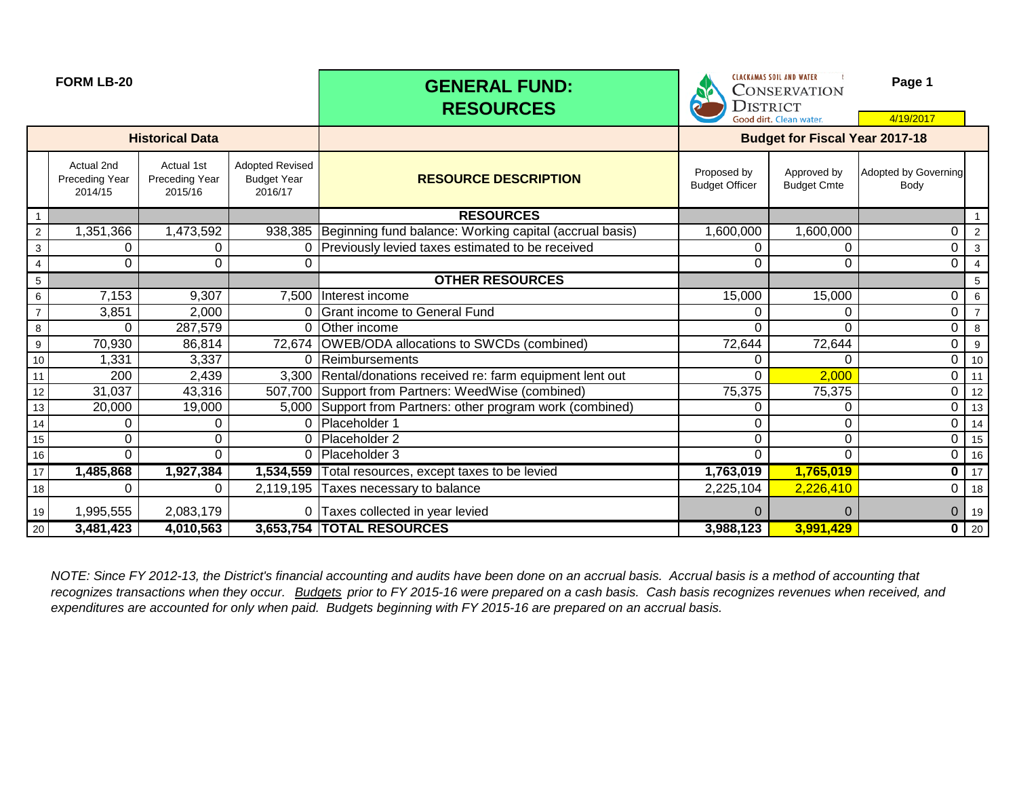|                 | <b>FORM LB-20</b>                              |                                         |                                                         | <b>GENERAL FUND:</b><br><b>RESOURCES</b>                        | <b>DISTRICT</b>                      | <b>CLACKAMAS SOIL AND WATER</b><br>Page 1<br><b>CONSERVATION</b><br>Good dirt. Clean water.<br>4/19/2017 |                              |             |  |
|-----------------|------------------------------------------------|-----------------------------------------|---------------------------------------------------------|-----------------------------------------------------------------|--------------------------------------|----------------------------------------------------------------------------------------------------------|------------------------------|-------------|--|
|                 |                                                | <b>Historical Data</b>                  |                                                         |                                                                 |                                      | <b>Budget for Fiscal Year 2017-18</b>                                                                    |                              |             |  |
|                 | Actual 2nd<br><b>Preceding Year</b><br>2014/15 | Actual 1st<br>Preceding Year<br>2015/16 | <b>Adopted Revised</b><br><b>Budget Year</b><br>2016/17 | <b>RESOURCE DESCRIPTION</b>                                     | Proposed by<br><b>Budget Officer</b> | Approved by<br><b>Budget Cmte</b>                                                                        | Adopted by Governing<br>Body |             |  |
| $\mathbf{1}$    |                                                |                                         |                                                         | <b>RESOURCES</b>                                                |                                      |                                                                                                          |                              |             |  |
| $\overline{2}$  | 1,351,366                                      | 1,473,592                               |                                                         | 938,385 Beginning fund balance: Working capital (accrual basis) | 1,600,000                            | 1,600,000                                                                                                | 0                            | 2           |  |
| 3               | 0                                              | 0                                       | 0                                                       | Previously levied taxes estimated to be received                |                                      | 0                                                                                                        | 0                            | 3           |  |
| $\overline{4}$  | 0                                              | 0                                       | 0                                                       |                                                                 | 0                                    | 0                                                                                                        | 0                            |             |  |
| $5\phantom{.0}$ |                                                |                                         |                                                         | <b>OTHER RESOURCES</b>                                          |                                      |                                                                                                          |                              | 5           |  |
| 6               | 7,153                                          | 9,307                                   |                                                         | 7,500 Interest income                                           | 15,000                               | 15,000                                                                                                   | 0                            | 6           |  |
| $\overline{7}$  | 3,851                                          | 2,000                                   |                                                         | Grant income to General Fund                                    |                                      | $\Omega$                                                                                                 | 0                            |             |  |
| 8               | $\Omega$                                       | 287,579                                 |                                                         | Other income                                                    | $\Omega$                             | 0                                                                                                        | 0                            | 8           |  |
| 9               | 70,930                                         | 86,814                                  | 72,674                                                  | OWEB/ODA allocations to SWCDs (combined)                        | 72,644                               | 72,644                                                                                                   | 0                            | 9           |  |
| $10$            | 1,331                                          | 3,337                                   | 0                                                       | Reimbursements                                                  | 0                                    | $\Omega$                                                                                                 | 0                            | 10          |  |
| 11              | 200                                            | 2,439                                   |                                                         | 3,300 Rental/donations received re: farm equipment lent out     | 0                                    | 2,000                                                                                                    | 0                            | 11          |  |
| 12              | 31,037                                         | 43,316                                  |                                                         | 507,700 Support from Partners: WeedWise (combined)              | 75,375                               | 75,375                                                                                                   | 0                            | 12          |  |
| $13$            | 20,000                                         | 19,000                                  |                                                         | 5,000 Support from Partners: other program work (combined)      | 0                                    | 0                                                                                                        | 0                            | 13          |  |
| 14              | 0                                              | 0                                       | 0                                                       | Placeholder 1                                                   | 0                                    | 0                                                                                                        | 0                            | 14          |  |
| $15\,$          | 0                                              | 0                                       | 0                                                       | Placeholder 2                                                   | 0                                    | $\Omega$                                                                                                 | 0                            | 15          |  |
| 16              | $\Omega$                                       | 0                                       | $\Omega$                                                | Placeholder 3                                                   | 0                                    | $\Omega$                                                                                                 | 0                            | 16          |  |
| 17              | 1,485,868                                      | 1,927,384                               | 1,534,559                                               | Total resources, except taxes to be levied                      | 1,763,019                            | 1,765,019                                                                                                | 0                            | 17          |  |
| 18              | 0                                              | 0                                       |                                                         | 2,119,195 Taxes necessary to balance                            | 2,225,104                            | 2,226,410                                                                                                | 0                            | 18          |  |
| 19              | 1,995,555                                      | 2,083,179                               |                                                         | 0 Taxes collected in year levied                                | 0                                    | $\Omega$                                                                                                 | 0                            | 19          |  |
| 20              | 3,481,423                                      | 4,010,563                               |                                                         | 3,653,754 TOTAL RESOURCES                                       | 3,988,123                            | 3,991,429                                                                                                |                              | $0 \mid 20$ |  |

*NOTE: Since FY 2012-13, the District's financial accounting and audits have been done on an accrual basis. Accrual basis is a method of accounting that recognizes transactions when they occur. Budgets prior to FY 2015-16 were prepared on a cash basis. Cash basis recognizes revenues when received, and expenditures are accounted for only when paid. Budgets beginning with FY 2015-16 are prepared on an accrual basis.*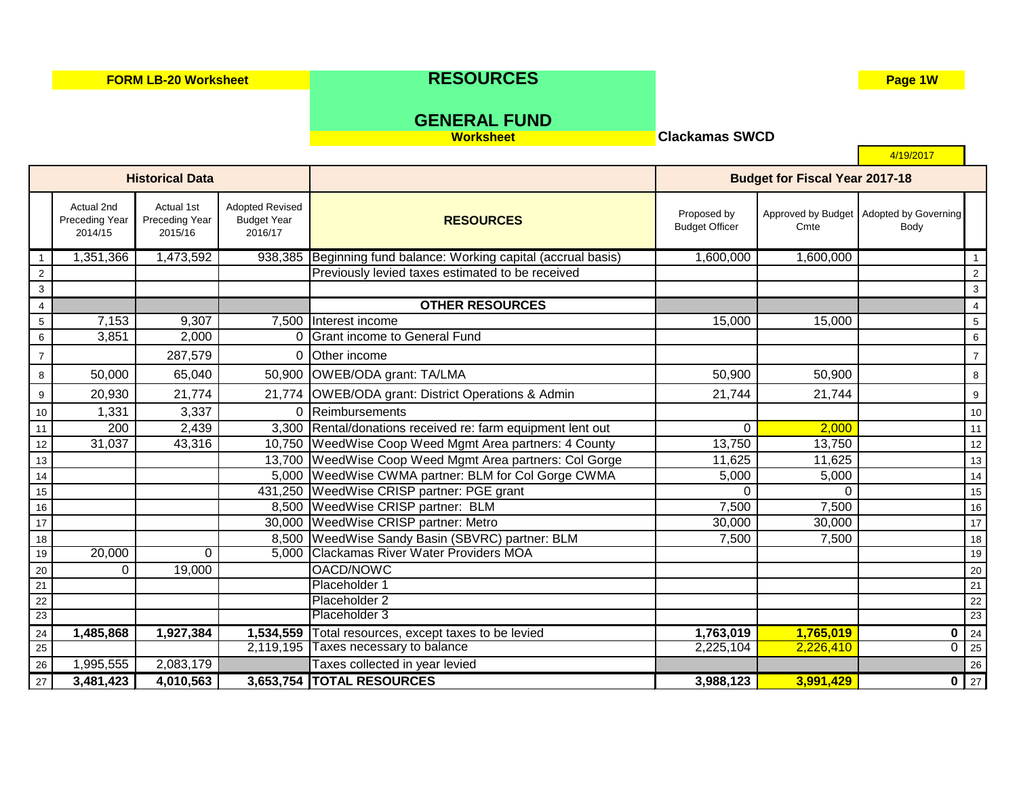**FORM LB-20 Worksheet RESOURCES Page 1W** 

4/19/2017

**Worksheet Clackamas SWCD**

# **GENERAL FUND**

1 1,351,366 1 1,473,592 938,385 Beginning fund balance: Working capital (accrual basis) 1,600,000 1,600,000 1,600,000 1 2 | 2  $3$  ) and the contract of the contract of the contract of the contract of the contract of the contract of the contract of the contract of the contract of the contract of the contract of the contract of the contract of the 4 **OTHER RESOURCES** 4 5 7,153 9,307 7,500 |Interest income 15,000 15,000 | 6 3.851 2.000 0 Grant income to General Fund 6 3.851 2.000 0 Grant income to General Fund 7 287,579 0 Other income 7 8 50,000 65,040 50,900 OWEB/ODA grant: TA/LMA 50.900 50,900 50,900 50,900 50,900 8 9 20,930 21,774 21,774 21,774 OWEB/ODA grant: District Operations & Admin 21,744 21,744 21,744 10 1,331 3,337 0 Reimbursements 10 11 200 2,439 3,300 Rental/donations received re: farm equipment lent out 0 2,000 111 12 31,037 1 43,316 10,750 WeedWise Coop Weed Mgmt Area partners: 4 County 13,750 13,750 13,750 13,750 1250 120 13 13 13 13,700 WeedWise Coop Weed Mgmt Area partners: Col Gorge 11,625 11,625 11,625 11,625 13 14 The Research of the Superior of the Superior State of the Superior State of the Superior Superior Superior S 15 431,250 WeedWise CRISP partner: PGE grant 0 0 15 16 16 8,500 WeedWise CRISP partner: BLM 16 7,500 7,500 7,500 7,500 16 17 17 18 18 19 30.000 N U 30.000 WeedWise CRISP partner: Metro 1990 180,000 17 30,000 17 30,000 17 17 18 18 18 8,500 WeedWise Sandy Basin (SBVRC) partner: BLM 18 7,500 7,500 7,500 18 18 19 20,000 0 5,000 Clackamas River Water Providers MOA 19 20 **0 19,000 OACD/NOWC 20 20 OACD/NOWC** 20 20 20 OACH 20 21 Placeholder 1 21 22 **Placeholder 2 22 Placeholder 2** 22 Placeholder 2 22 Placeholder 2 22 Placeholder 2 22 Placeholder 2 22 Placeholder 2 22 23 **Placeholder 3** 23 **Placeholder 3** 23 24 **1,485,868 1,927,384 1,534,559** Total resources, except taxes to be levied **1,763,019 1,765,019 0** 24 25 2,119,195 Taxes necessary to balance 2,225,104 2,226,410 0 25 26 1,995,555 2,083,179 Taxes collected in year levied 26 Taxes of Laterature 26 Taxes collected in year levied 27 **3,481,423 4,010,563 3,653,754 TOTAL RESOURCES 3,988,123 3,991,429 0** 27 **Historical Data Budget for Fiscal Year 2017-18 RESOURCES** Actual 2nd Preceding Year 2014/15 Adopted Revised Budget Year 2016/17 Actual 1st Preceding Year 2015/16 Proposed by Budget Officer Approved by Budget **Cmte** Adopted by Governing Body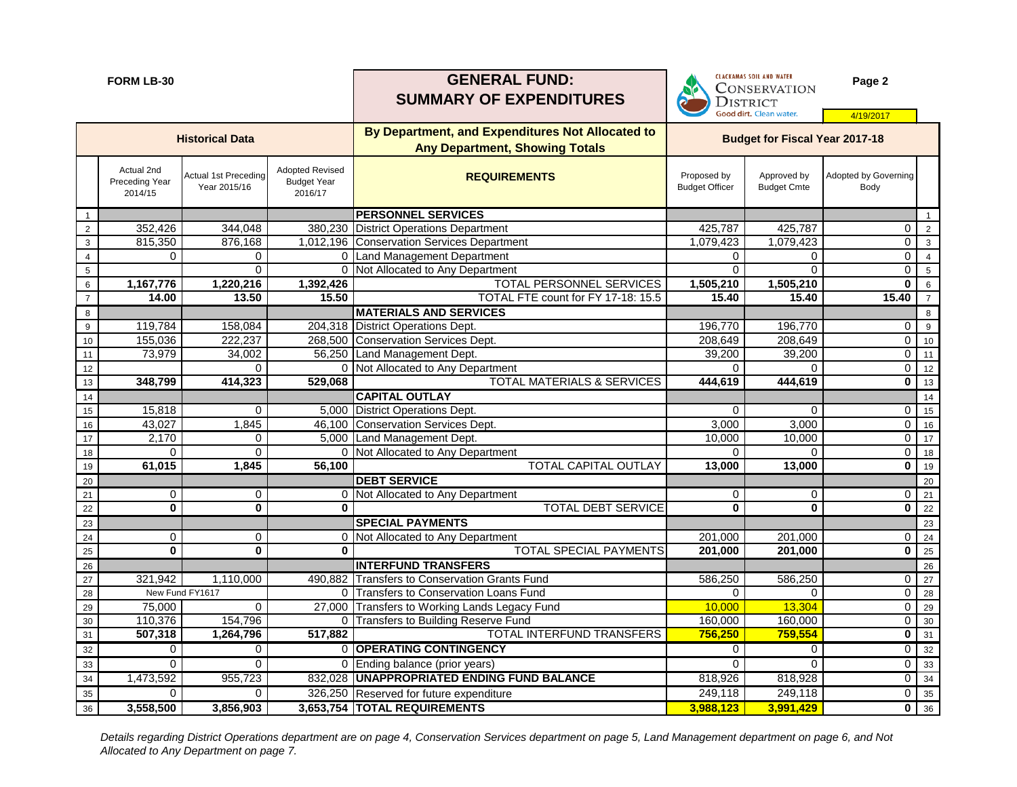|                  | <b>FORM LB-30</b>                       |                                             |                                                         | <b>GENERAL FUND:</b><br><b>SUMMARY OF EXPENDITURES</b>                                    | <b>CLACKAMAS SOIL AND WATER</b><br>CONSERVATION<br><b>DISTRICT</b> |                                       | Page 2                              |                |
|------------------|-----------------------------------------|---------------------------------------------|---------------------------------------------------------|-------------------------------------------------------------------------------------------|--------------------------------------------------------------------|---------------------------------------|-------------------------------------|----------------|
|                  |                                         |                                             |                                                         |                                                                                           |                                                                    | Good dirt. Clean water.               | 4/19/2017                           |                |
|                  |                                         | <b>Historical Data</b>                      |                                                         | By Department, and Expenditures Not Allocated to<br><b>Any Department, Showing Totals</b> |                                                                    | <b>Budget for Fiscal Year 2017-18</b> |                                     |                |
|                  | Actual 2nd<br>Preceding Year<br>2014/15 | <b>Actual 1st Preceding</b><br>Year 2015/16 | <b>Adopted Revised</b><br><b>Budget Year</b><br>2016/17 | <b>REQUIREMENTS</b>                                                                       | Proposed by<br><b>Budget Officer</b>                               | Approved by<br><b>Budget Cmte</b>     | <b>Adopted by Governing</b><br>Body |                |
|                  |                                         |                                             |                                                         | <b>PERSONNEL SERVICES</b>                                                                 |                                                                    |                                       |                                     | $\mathbf{1}$   |
| $\overline{2}$   | 352,426                                 | 344,048                                     | 380,230                                                 | <b>District Operations Department</b>                                                     | 425,787                                                            | 425,787                               | $\mathbf 0$                         | $\overline{2}$ |
| $\mathbf{3}$     | 815,350                                 | 876,168                                     | 1,012,196                                               | Conservation Services Department                                                          | 1,079,423                                                          | 1,079,423                             | 0                                   | $\mathbf{3}$   |
| 4                | 0                                       | 0                                           | 0                                                       | Land Management Department                                                                | 0                                                                  | 0                                     | 0                                   | $\overline{4}$ |
| 5                |                                         | 0                                           | $\Omega$                                                | Not Allocated to Any Department                                                           | $\Omega$                                                           | $\Omega$                              | 0                                   | $\sqrt{5}$     |
| 6                | 1,167,776                               | 1,220,216                                   | 1,392,426                                               | TOTAL PERSONNEL SERVICES                                                                  | 1,505,210                                                          | 1,505,210                             | $\mathbf 0$                         | 6              |
| $\overline{7}$   | 14.00                                   | 13.50                                       | 15.50                                                   | TOTAL FTE count for FY 17-18: 15.5                                                        | 15.40                                                              | 15.40                                 | 15.40                               | $\overline{7}$ |
| 8                |                                         |                                             |                                                         | <b>MATERIALS AND SERVICES</b>                                                             |                                                                    |                                       |                                     | 8              |
| $\boldsymbol{9}$ | 119,784                                 | 158,084                                     |                                                         | 204,318 District Operations Dept.                                                         | 196,770                                                            | 196,770                               | 0                                   | 9              |
| $10$             | 155,036                                 | 222,237                                     | 268,500                                                 | Conservation Services Dept.                                                               | 208,649                                                            | 208,649                               | $\overline{0}$                      | 10             |
| 11               | 73,979                                  | 34,002                                      |                                                         | 56,250 Land Management Dept.                                                              | 39,200                                                             | 39,200                                | $\overline{0}$                      | 11             |
| 12               |                                         |                                             | $\Omega$                                                | Not Allocated to Any Department                                                           | $\Omega$                                                           | $\Omega$                              | 0                                   | 12             |
| 13               | 348,799                                 | 414,323                                     | 529,068                                                 | TOTAL MATERIALS & SERVICES                                                                | 444,619                                                            | 444,619                               | $\mathbf 0$                         | 13             |
| 14               |                                         |                                             |                                                         | <b>CAPITAL OUTLAY</b>                                                                     |                                                                    |                                       |                                     | 14             |
| 15               | 15,818                                  | $\Omega$                                    |                                                         | 5,000 District Operations Dept.                                                           | $\Omega$                                                           | $\Omega$                              | 0                                   | 15             |
| 16               | 43,027                                  | 1,845                                       |                                                         | 46,100 Conservation Services Dept.                                                        | 3,000                                                              | 3,000                                 | 0                                   | 16             |
| 17               | 2,170<br>$\Omega$                       | 0                                           |                                                         | 5,000 Land Management Dept.<br>0 Not Allocated to Any Department                          | 10,000<br>$\Omega$                                                 | 10,000<br>$\Omega$                    | 0<br>0                              | 17             |
| 18<br>$19$       | 61,015                                  | 1,845                                       | 56,100                                                  | <b>TOTAL CAPITAL OUTLAY</b>                                                               | 13,000                                                             | 13,000                                | $\mathbf 0$                         | 18<br>19       |
| $20\,$           |                                         |                                             |                                                         | <b>DEBT SERVICE</b>                                                                       |                                                                    |                                       |                                     | 20             |
| $21$             | 0                                       | 0                                           |                                                         | Not Allocated to Any Department                                                           | 0                                                                  | 0                                     | 0                                   | $21$           |
| 22               | $\mathbf 0$                             | $\mathbf 0$                                 | $\bf{0}$                                                | <b>TOTAL DEBT SERVICE</b>                                                                 | $\mathbf 0$                                                        | $\mathbf 0$                           | $\mathbf 0$                         | 22             |
| 23               |                                         |                                             |                                                         | <b>SPECIAL PAYMENTS</b>                                                                   |                                                                    |                                       |                                     | 23             |
| 24               | 0                                       | 0                                           | 0                                                       | Not Allocated to Any Department                                                           | 201,000                                                            | 201,000                               | 0                                   | 24             |
| 25               | $\mathbf 0$                             | $\mathbf 0$                                 | $\bf{0}$                                                | <b>TOTAL SPECIAL PAYMENTS</b>                                                             | 201,000                                                            | 201,000                               | $\mathbf 0$                         | 25             |
| $26\,$           |                                         |                                             |                                                         | <b>INTERFUND TRANSFERS</b>                                                                |                                                                    |                                       |                                     | 26             |
| 27               | 321,942                                 | 1,110,000                                   |                                                         | 490,882 Transfers to Conservation Grants Fund                                             | 586,250                                                            | 586,250                               | $\overline{0}$                      | 27             |
| 28               |                                         | New Fund FY1617                             |                                                         | 0 Transfers to Conservation Loans Fund                                                    | 0                                                                  | $\mathbf 0$                           | $\overline{0}$                      | 28             |
| $29\,$           | 75,000                                  | 0                                           |                                                         | 27,000 Transfers to Working Lands Legacy Fund                                             | 10,000                                                             | 13,304                                | $\overline{0}$                      | 29             |
| $30\,$           | 110,376                                 | 154,796                                     | 0                                                       | <b>Transfers to Building Reserve Fund</b>                                                 | 160,000                                                            | 160,000                               | $\overline{0}$                      | 30             |
| 31               | 507,318                                 | 1,264,796                                   | 517,882                                                 | <b>TOTAL INTERFUND TRANSFERS</b>                                                          | 756,250                                                            | 759,554                               | $\mathbf 0$                         | 31             |
| 32               | 0                                       | 0                                           |                                                         | 0 OPERATING CONTINGENCY                                                                   | 0                                                                  | $\mathbf 0$                           | $\overline{0}$                      | 32             |
| 33               | 0                                       | 0                                           |                                                         | 0 Ending balance (prior years)                                                            | $\Omega$                                                           | $\Omega$                              | $\overline{0}$                      | 33             |
| 34               | 1,473,592                               | 955,723                                     |                                                         | 832,028 UNAPPROPRIATED ENDING FUND BALANCE                                                | 818,926                                                            | 818,928                               | $\overline{\mathbf{O}}$             | 34             |
| 35               | 0                                       | 0                                           |                                                         | 326,250 Reserved for future expenditure                                                   | 249,118                                                            | 249,118                               | $\overline{0}$                      | 35             |
| 36               | 3,558,500                               | 3,856,903                                   |                                                         | 3,653,754  TOTAL REQUIREMENTS                                                             | 3,988,123                                                          | 3,991,429                             |                                     | $0 \t36$       |

*Details regarding District Operations department are on page 4, Conservation Services department on page 5, Land Management department on page 6, and Not Allocated to Any Department on page 7.*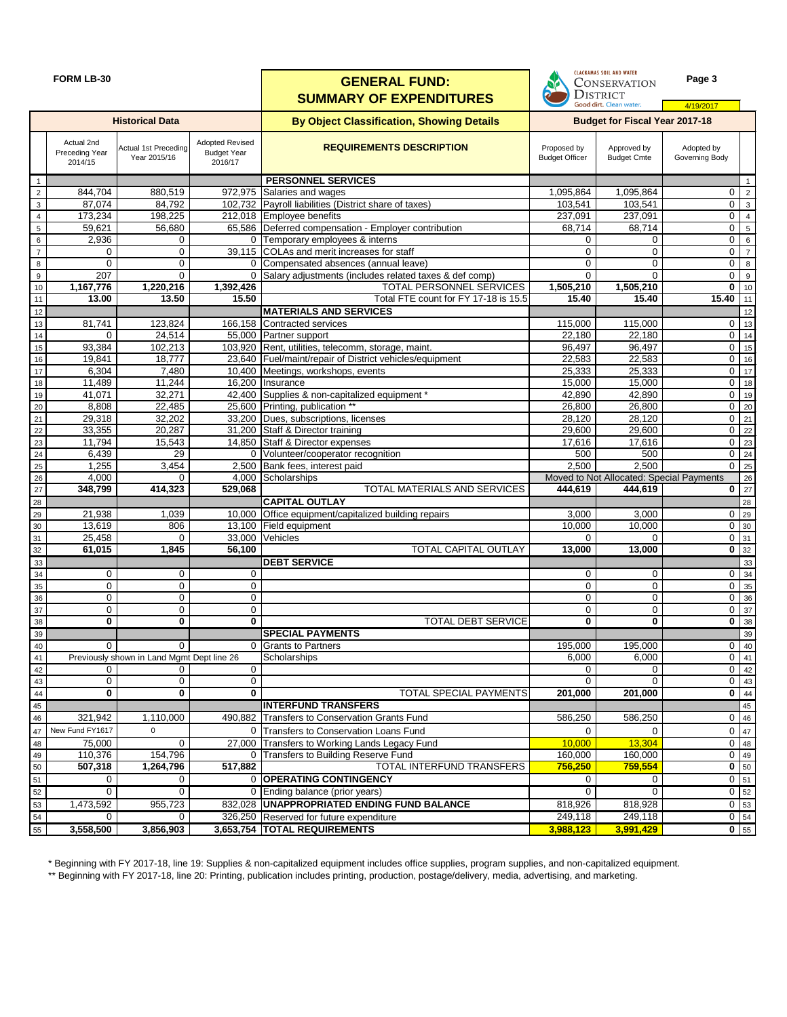|                 | <b>FORM LB-30</b>                       |                                                        |                                                         | <b>GENERAL FUND:</b><br><b>SUMMARY OF EXPENDITURES</b>                        | <b>CLACKAMAS SOIL AND WATER</b><br><b>CONSERVATION</b><br><b>DISTRICT</b><br>Good dirt. Clean water. | Page 3<br>4/19/2017                      |                                  |                        |
|-----------------|-----------------------------------------|--------------------------------------------------------|---------------------------------------------------------|-------------------------------------------------------------------------------|------------------------------------------------------------------------------------------------------|------------------------------------------|----------------------------------|------------------------|
|                 |                                         | <b>Historical Data</b>                                 |                                                         | <b>By Object Classification, Showing Details</b>                              |                                                                                                      | <b>Budget for Fiscal Year 2017-18</b>    |                                  |                        |
|                 | Actual 2nd<br>Preceding Year<br>2014/15 | Actual 1st Preceding<br>Year 2015/16                   | <b>Adopted Revised</b><br><b>Budget Year</b><br>2016/17 | <b>REQUIREMENTS DESCRIPTION</b>                                               | Proposed by<br><b>Budget Officer</b>                                                                 | Approved by<br><b>Budget Cmte</b>        | Adopted by<br>Governing Body     |                        |
| $\overline{1}$  |                                         |                                                        |                                                         | <b>PERSONNEL SERVICES</b>                                                     |                                                                                                      |                                          |                                  | $\mathbf{1}$           |
| $\overline{2}$  | 844,704                                 | 880,519                                                |                                                         | 972,975 Salaries and wages                                                    | 1,095,864                                                                                            | 1,095,864                                | $\overline{0}$                   | $\overline{2}$         |
| $\mathbf{3}$    | 87,074                                  | 84,792                                                 |                                                         | 102,732 Payroll liabilities (District share of taxes)                         | 103,541                                                                                              | 103,541                                  | $\overline{0}$                   | $\mathbf{3}$           |
| 4               | 173,234                                 | 198,225                                                |                                                         | 212,018 Employee benefits                                                     | 237,091                                                                                              | 237,091                                  | $\overline{0}$                   | $\overline{4}$         |
| $5\phantom{.0}$ | 59,621                                  | 56,680                                                 |                                                         | 65,586 Deferred compensation - Employer contribution                          | 68,714                                                                                               | 68,714                                   | $\mathbf 0$                      | 5                      |
| 6               | 2,936                                   | 0                                                      |                                                         | 0 Temporary employees & interns<br>39,115 COLAs and merit increases for staff | 0                                                                                                    | 0                                        | $\overline{0}$<br>$\mathbf 0$    | 6                      |
| $\overline{7}$  | 0<br>0                                  | 0<br>0                                                 |                                                         | 0 Compensated absences (annual leave)                                         | 0<br>$\Omega$                                                                                        | $\mathbf 0$<br>0                         | $\mathbf 0$                      | $\overline{7}$         |
| 8<br>9          | 207                                     | 0                                                      |                                                         | 0 Salary adjustments (includes related taxes & def comp)                      | $\Omega$                                                                                             | $\Omega$                                 | 0                                | $\,8\,$<br>$\mathsf g$ |
| 10              | 1,167,776                               | 1,220,216                                              | 1,392,426                                               | <b>TOTAL PERSONNEL SERVICES</b>                                               | 1,505,210                                                                                            | 1,505,210                                | $\overline{0}$   10              |                        |
| 11              | 13.00                                   | 13.50                                                  | 15.50                                                   | Total FTE count for FY 17-18 is 15.5                                          | 15.40                                                                                                | 15.40                                    | 15.40                            | 11                     |
| 12              |                                         |                                                        |                                                         | <b>MATERIALS AND SERVICES</b>                                                 |                                                                                                      |                                          |                                  | 12                     |
| $13$            | 81,741                                  | 123,824                                                | 166,158                                                 | Contracted services                                                           | 115,000                                                                                              | 115,000                                  | 0                                | 13                     |
| 14              | 0                                       | 24,514                                                 |                                                         | 55,000 Partner support                                                        | 22,180                                                                                               | 22,180                                   | $\overline{0}$                   | 14                     |
| 15              | 93,384                                  | 102,213                                                |                                                         | 103,920 Rent, utilities, telecomm, storage, maint.                            | 96,497                                                                                               | 96,497                                   | $\mathbf 0$                      | 15                     |
| 16              | 19,841                                  | 18,777                                                 |                                                         | 23,640 Fuel/maint/repair of District vehicles/equipment                       | 22,583                                                                                               | 22,583                                   | $\mathbf 0$                      | 16                     |
| 17              | 6,304                                   | 7,480                                                  | 10,400                                                  | Meetings, workshops, events                                                   | 25,333                                                                                               | 25,333                                   | $\mathbf 0$                      | $\overline{17}$        |
| 18              | 11,489                                  | 11,244                                                 | 16,200                                                  | Insurance                                                                     | 15,000                                                                                               | 15,000                                   | $\mathbf 0$                      | 18                     |
| 19              | 41,071                                  | 32,271                                                 | 42,400                                                  | Supplies & non-capitalized equipment *                                        | 42,890                                                                                               | 42,890                                   | $\mathbf 0$                      | 19                     |
| 20              | 8,808                                   | 22,485                                                 |                                                         | 25,600 Printing, publication **                                               | 26,800                                                                                               | 26,800                                   | $\mathbf 0$                      | 20                     |
| 21              | 29,318                                  | 32,202                                                 | 33,200                                                  | Dues, subscriptions, licenses                                                 | 28,120                                                                                               | 28,120                                   | $0 \mid 21$                      |                        |
| 22              | 33,355                                  | 20,287                                                 | 31,200                                                  | Staff & Director training                                                     | 29,600                                                                                               | 29,600                                   | 22<br>0                          |                        |
| 23              | 11,794                                  | 15,543<br>29                                           | 14,850                                                  | Staff & Director expenses                                                     | 17,616<br>500                                                                                        | 17,616<br>500                            | $\overline{0}$   23              |                        |
| 24              | 6,439<br>1,255                          | 3,454                                                  | 2,500                                                   | 0 Volunteer/cooperator recognition<br>Bank fees, interest paid                | 2,500                                                                                                | 2,500                                    | $\overline{0}$   24<br>$0$   25  |                        |
| 25<br>$26\,$    | 4,000                                   | 0                                                      | 4,000                                                   | Scholarships                                                                  |                                                                                                      | Moved to Not Allocated: Special Payments |                                  | 26                     |
| 27              | 348,799                                 | 414,323                                                | 529,068                                                 | TOTAL MATERIALS AND SERVICES                                                  | 444,619                                                                                              | 444,619                                  | $\overline{0}$ 27                |                        |
| 28              |                                         |                                                        |                                                         | <b>CAPITAL OUTLAY</b>                                                         |                                                                                                      |                                          |                                  | 28                     |
| 29              | 21,938                                  | 1,039                                                  | 10,000                                                  | Office equipment/capitalized building repairs                                 | 3,000                                                                                                | 3,000                                    | 0                                | 29                     |
| $30\,$          | 13,619                                  | 806                                                    |                                                         | 13,100 Field equipment                                                        | 10,000                                                                                               | 10,000                                   | 0                                | 30                     |
| 31              | 25,458                                  | $\Omega$                                               |                                                         | 33,000 Vehicles                                                               | $\Omega$                                                                                             | $\Omega$                                 | $0 \vert 31$                     |                        |
| 32              | 61,015                                  | 1,845                                                  | 56,100                                                  | TOTAL CAPITAL OUTLAY                                                          | 13,000                                                                                               | 13,000                                   | $\overline{0}$ 32                |                        |
| 33              |                                         |                                                        |                                                         | <b>DEBT SERVICE</b>                                                           |                                                                                                      |                                          |                                  | 33                     |
| 34              | 0                                       | 0                                                      | 0                                                       |                                                                               | 0                                                                                                    | 0                                        | $0 \quad 34$                     |                        |
| 35              | 0                                       | 0                                                      | 0                                                       |                                                                               | 0                                                                                                    | 0                                        | $0 \overline{35}$                |                        |
| 36              | $\overline{0}$                          | 0                                                      | 0                                                       |                                                                               | 0                                                                                                    | $\pmb{0}$                                | $0 \overline{36}$                |                        |
| $37\,$          | 0                                       | 0                                                      | 0                                                       |                                                                               | 0                                                                                                    | 0                                        | $0 \overline{\smash{\big)}\ 37}$ |                        |
| $38\,$          | $\mathbf 0$                             | 0                                                      | 0                                                       | <b>TOTAL DEBT SERVICE</b>                                                     | 0                                                                                                    | $\bf{0}$                                 | $0 \overline{\smash)38}$         |                        |
| 39              | 0                                       |                                                        |                                                         | <b>SPECIAL PAYMENTS</b>                                                       |                                                                                                      |                                          |                                  | 39                     |
| 40              |                                         | $\Omega$<br>Previously shown in Land Mgmt Dept line 26 |                                                         | 0 Grants to Partners<br>Scholarships                                          | 195,000<br>6,000                                                                                     | 195,000<br>6,000                         | 0<br>$\overline{0}$ 41           | 40                     |
| 41<br>42        | 0                                       | $\Omega$                                               | 0                                                       |                                                                               | $\Omega$                                                                                             | 0                                        | $0 \quad 42$                     |                        |
| 43              | 0                                       | 0                                                      | 0                                                       |                                                                               | $\Omega$                                                                                             | $\Omega$                                 | $0 \quad 43$                     |                        |
| 44              | $\mathbf 0$                             | $\mathbf 0$                                            | $\bf{0}$                                                | TOTAL SPECIAL PAYMENTS                                                        | 201,000                                                                                              | 201,000                                  | $\overline{0}$ 44                |                        |
| 45              |                                         |                                                        |                                                         | <b>INTERFUND TRANSFERS</b>                                                    |                                                                                                      |                                          |                                  | 45                     |
| 46              | 321,942                                 | 1,110,000                                              |                                                         | 490,882 Transfers to Conservation Grants Fund                                 | 586,250                                                                                              | 586,250                                  | $0 \mid 46$                      |                        |
| 47              | New Fund FY1617                         | $\Omega$                                               |                                                         | 0 Transfers to Conservation Loans Fund                                        | $\Omega$                                                                                             | $\Omega$                                 | 47<br>0                          |                        |
| 48              | 75,000                                  | $\Omega$                                               |                                                         | 27,000 Transfers to Working Lands Legacy Fund                                 | 10,000                                                                                               | 13,304                                   | $0 \mid 48$                      |                        |
| 49              | 110,376                                 | 154,796                                                |                                                         | 0 Transfers to Building Reserve Fund                                          | 160,000                                                                                              | 160,000                                  | $0 \mid 49$                      |                        |
| 50              | 507,318                                 | 1,264,796                                              | 517,882                                                 | <b>TOTAL INTERFUND TRANSFERS</b>                                              | 756,250                                                                                              | 759,554                                  | $0 \quad 50$                     |                        |
| 51              | 0                                       | 0                                                      |                                                         | 0 OPERATING CONTINGENCY                                                       | 0                                                                                                    | 0                                        | $0$ 51                           |                        |
| 52              | 0                                       | 0                                                      |                                                         | 0 Ending balance (prior years)                                                | 0                                                                                                    | 0                                        | 0 52                             |                        |
| 53              | 1,473,592                               | 955,723                                                |                                                         | 832,028   UNAPPROPRIATED ENDING FUND BALANCE                                  | 818,926                                                                                              | 818,928                                  | $0 \overline{)53}$               |                        |
| 54              | 0                                       | 0                                                      |                                                         | 326,250 Reserved for future expenditure                                       | 249,118                                                                                              | 249,118                                  | $0 \mid 54$                      |                        |
| 55              | 3,558,500                               | 3,856,903                                              |                                                         | 3,653,754 TOTAL REQUIREMENTS                                                  | 3,988,123                                                                                            | 3,991,429                                | $\overline{0}$ 55                |                        |

\* Beginning with FY 2017-18, line 19: Supplies & non-capitalized equipment includes office supplies, program supplies, and non-capitalized equipment.

\*\* Beginning with FY 2017-18, line 20: Printing, publication includes printing, production, postage/delivery, media, advertising, and marketing.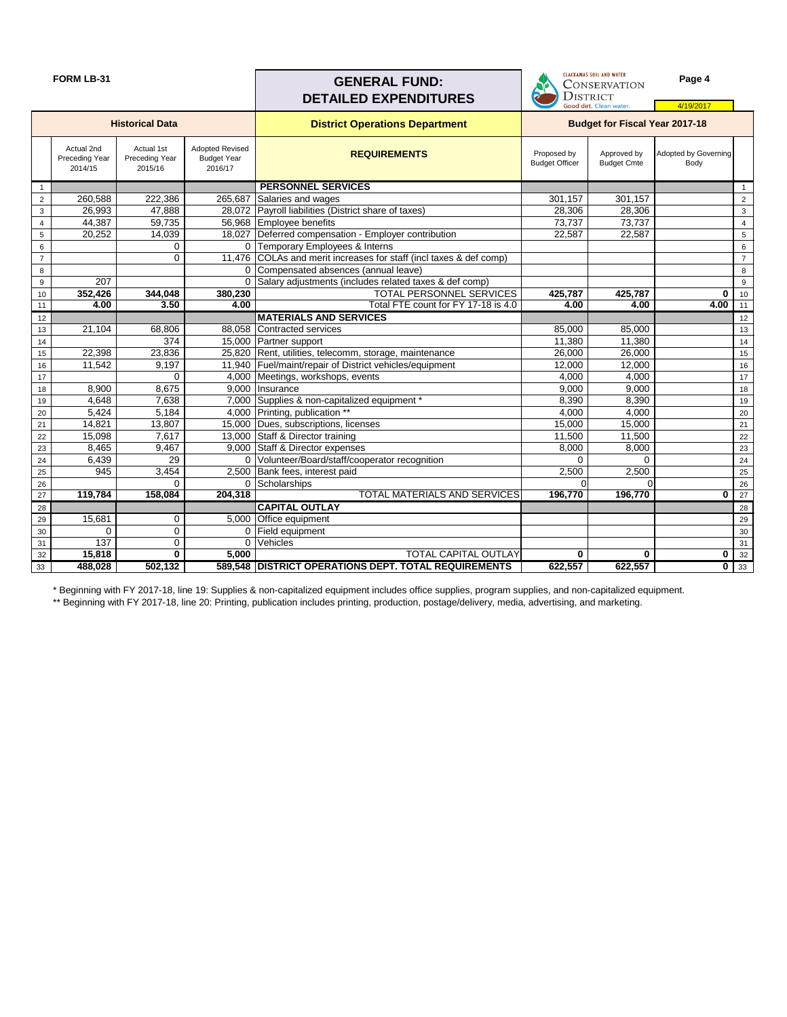| <b>FORM LB-31</b> |  |
|-------------------|--|
|-------------------|--|

#### **FORM LB-31 Page 4 Page 4 Page 4** DISTRICT **DETAILED EXPENDITURES** Good dirt. Clean water 4/19/2017 **District Operations Department Historical Data Budget for Fiscal Year 2017-18**Actual 2nd Actual 1st Adopted Revised **REQUIREMENTS** Proposed by Approved by Adopted by Governing Preceding Year Preceding Year Budget Year Budget Officer Budget Cmte Body 2014/15 2015/16 2016/17 1<br>
21 260,588 222,386 265,687 Salaries and wages 301,157 301,157 301,157 2 2 260,588 222,386 265,687 Salaries and wages 301,157 301,157 2 3 26,993 47,888 28,072 Payroll liabilities (District share of taxes) 28,306 28,306 28,306 3<br>4 44,387 59,735 56,968 Employee benefits 3 4 44,387 59,735 56,968 Employee benefits 73,737 73,737 4 5 20,252 14,039 18,027 Deferred compensation - Employer contribution 1 22,587 22,587 22,587 6 0 0 Temporary Employees & Interns 6 7 0 11,476 COLAs and merit increases for staff (incl taxes & def comp) 8 **0 Compensated absences (annual leave)** 8 **1 Compensated absences (annual leave**) 8 **1 Compensated absences (annual leave**) 9 207 207 207 0 Salary adjustments (includes related taxes & def comp) 9 207 207 207 9 10 **352,426 344,048 380,230** TOTAL PERSONNEL SERVICES **425,787 425,787 0** 10 11 **4.00 3.50 4.00** Total FTE count for FY 17-18 is 4.0 **4.00 4.00 4.00** 11 12 **MATERIALS AND SERVICES 12 MATERIALS AND SERVICES** 13 21,104 68,806 88,058 Contracted services 85,000 85,000 85,000 13 14 11,380 11,380 11,380 11,380 11,380 11,380 11,380 11,380 11,380 11,380 11,380 11,380 11,4 15 22,398 23,836 25,820 Rent, utilities, telecomm, storage, maintenance 26,000 26,000 15 16 11,542 9,197 11,940 Fuel/maint/repair of District vehicles/equipment 12,000 12,000 12,000 16 17 | 17 | 0 | 4,000 Meetings, workshops, events | 4,000 | 4,000 | 4,000 | 17 18 8,900 8,675 9,000 Insurance 18 9,000 100 8,000 9,000 9,000 18 19 4,648 7,638 7,000 Supplies & non-capitalized equipment \* 8,390 8,390 8,390 8,390 19 20 5,424 5,184 4,000 Printing, publication \*\* 1 4,000 4,000 4,000 4,000 20 21 14,821 13,807 15,000 Dues, subscriptions, licenses 15,000 15,000 15,000 21 22 15,098 7,617 13,000 Staff & Director training 11,500 11,500 11,500 23 8,465 9,467 9,000 Staff & Director expenses 8,000 8,000 8,000 8,000 23 24 6,439 29 0 Volunteer/Board/staff/cooperator recognition 0 0 0 0 24 25 945 3,454 2,500 Bank fees, interest paid 2,500 2,500 2,500 2,500 26 0 0 Scholarships 0 0 26 27 **119,784 158,084 204,318** TOTAL MATERIALS AND SERVICES **196,770 196,770 0** 27 28 **CAPITAL OUTLAY** 28 29 15,681 0 5,000 Office equipment 29 30 0 0 0 Field equipment 30 31 137 0 0 Vehicles 31 32 **15,818 0 5,000** TOTAL CAPITAL OUTLAY **0 0 0** 32 33 **488,028 502,132 589,548 DISTRICT OPERATIONS DEPT. TOTAL REQUIREMENTS 622,557 622,557 0** 33

\* Beginning with FY 2017-18, line 19: Supplies & non-capitalized equipment includes office supplies, program supplies, and non-capitalized equipment. \*\* Beginning with FY 2017-18, line 20: Printing, publication includes printing, production, postage/delivery, media, advertising, and marketing.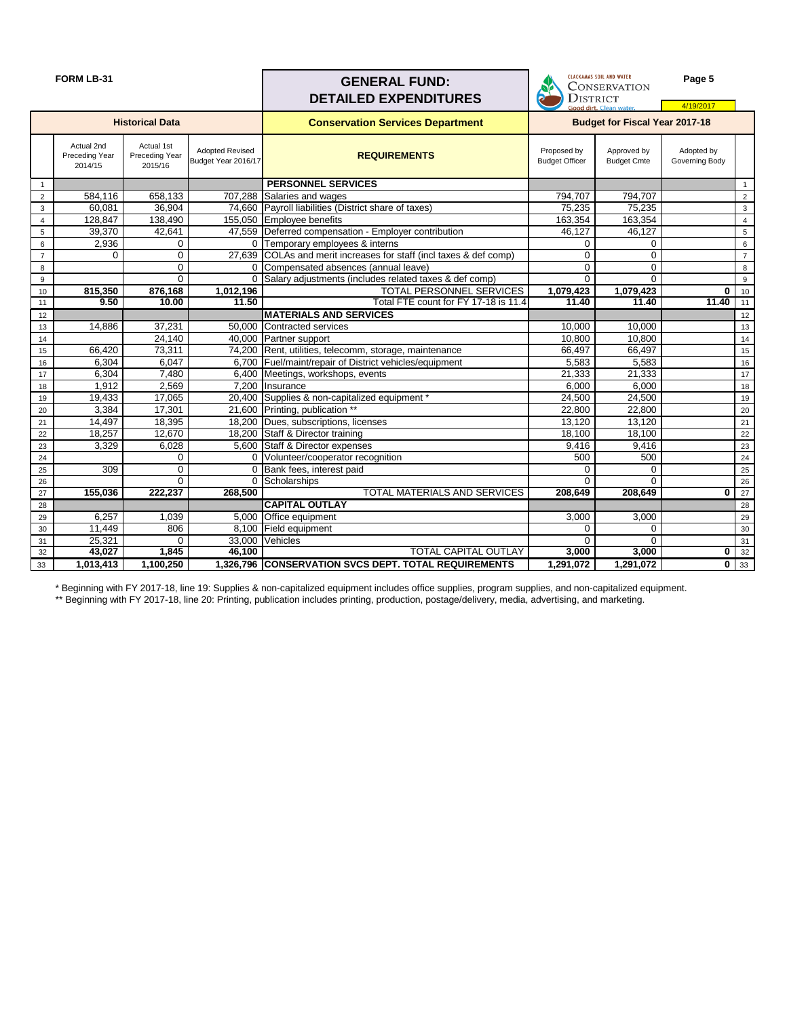| <b>FORM LB-31</b> |  |
|-------------------|--|
|-------------------|--|



|                 | <b>FORM LB-31</b>                              |                                         |                                               | <b>GENERAL FUND:</b><br><b>DETAILED EXPENDITURES</b>               | LLALRAMAJ JUIL ANU WAIER<br><b>CONSERVATION</b><br>q<br><b>DISTRICT</b> |                                   | Page 5                       |                 |
|-----------------|------------------------------------------------|-----------------------------------------|-----------------------------------------------|--------------------------------------------------------------------|-------------------------------------------------------------------------|-----------------------------------|------------------------------|-----------------|
|                 |                                                |                                         |                                               |                                                                    |                                                                         | Good dirt. Clean water.           | 4/19/2017                    |                 |
|                 |                                                | <b>Historical Data</b>                  |                                               | <b>Conservation Services Department</b>                            | <b>Budget for Fiscal Year 2017-18</b>                                   |                                   |                              |                 |
|                 | Actual 2nd<br><b>Preceding Year</b><br>2014/15 | Actual 1st<br>Preceding Year<br>2015/16 | <b>Adopted Revised</b><br>Budget Year 2016/17 | <b>REQUIREMENTS</b>                                                | Proposed by<br><b>Budget Officer</b>                                    | Approved by<br><b>Budget Cmte</b> | Adopted by<br>Governing Body |                 |
| $\mathbf{1}$    |                                                |                                         |                                               | <b>PERSONNEL SERVICES</b>                                          |                                                                         |                                   |                              | $\mathbf{1}$    |
| 2               | 584,116                                        | 658,133                                 |                                               | 707,288 Salaries and wages                                         | 794,707                                                                 | 794,707                           |                              | $\sqrt{2}$      |
| 3               | 60,081                                         | 36,904                                  |                                               | 74,660 Payroll liabilities (District share of taxes)               | 75,235                                                                  | 75,235                            |                              | $\mathbf{3}$    |
| $\overline{4}$  | 128,847                                        | 138,490                                 |                                               | 155,050 Employee benefits                                          | 163,354                                                                 | 163,354                           |                              | $\overline{4}$  |
| 5               | 39,370                                         | 42,641                                  |                                               | 47,559 Deferred compensation - Employer contribution               | 46,127                                                                  | 46,127                            |                              | $\overline{5}$  |
| 6               | 2,936                                          | 0                                       |                                               | 0 Temporary employees & interns                                    | $\mathbf 0$                                                             | $\mathbf 0$                       |                              | $\,6\,$         |
| $\overline{7}$  | $\mathbf 0$                                    | $\mathbf 0$                             |                                               | 27,639 COLAs and merit increases for staff (incl taxes & def comp) | $\mathbf 0$                                                             | $\mathbf 0$                       |                              | $\overline{7}$  |
| 8               |                                                | $\mathbf 0$                             |                                               | 0 Compensated absences (annual leave)                              | $\overline{0}$                                                          | $\mathbf 0$                       |                              | $\bf 8$         |
| 9               |                                                | $\overline{0}$                          | $\Omega$                                      | Salary adjustments (includes related taxes & def comp)             | $\Omega$                                                                | $\Omega$                          |                              | 9               |
| 10              | 815,350                                        | 876,168                                 | 1,012,196                                     | <b>TOTAL PERSONNEL SERVICES</b>                                    | 1,079,423                                                               | 1,079,423                         | $\bf{0}$                     | 10              |
| 11              | 9.50                                           | 10.00                                   | 11.50                                         | Total FTE count for FY 17-18 is 11.4                               | 11.40                                                                   | 11.40                             | 11.40                        | 11              |
| 12 <sup>2</sup> |                                                |                                         |                                               | <b>MATERIALS AND SERVICES</b>                                      |                                                                         |                                   |                              | 12              |
| 13              | 14,886                                         | 37,231                                  |                                               | 50,000 Contracted services                                         | 10,000                                                                  | 10,000                            |                              | 13              |
| 14              |                                                | 24,140                                  |                                               | 40,000 Partner support                                             | 10,800                                                                  | 10,800                            |                              | 14              |
| 15              | 66,420                                         | 73,311                                  |                                               | 74,200 Rent, utilities, telecomm, storage, maintenance             | 66,497                                                                  | 66,497                            |                              | 15              |
| 16              | 6,304                                          | 6,047                                   |                                               | 6,700 Fuel/maint/repair of District vehicles/equipment             | 5,583                                                                   | 5,583                             |                              | 16              |
| 17              | 6,304                                          | 7,480                                   |                                               | 6,400 Meetings, workshops, events                                  | 21,333                                                                  | 21,333                            |                              | 17              |
| 18              | 1,912                                          | 2,569                                   |                                               | 7,200 Insurance                                                    | 6,000                                                                   | 6,000                             |                              | 18              |
| 19              | 19,433                                         | 17,065                                  |                                               | 20,400 Supplies & non-capitalized equipment *                      | 24,500                                                                  | 24,500                            |                              | $19$            |
| 20              | 3,384                                          | 17,301                                  |                                               | 21,600 Printing, publication **                                    | 22,800                                                                  | 22,800                            |                              | 20              |
| 21              | 14,497                                         | 18,395                                  |                                               | 18,200 Dues, subscriptions, licenses                               | 13,120                                                                  | 13,120                            |                              | 21              |
| 22              | 18,257                                         | 12,670                                  |                                               | 18,200 Staff & Director training                                   | 18,100                                                                  | 18,100                            |                              | 22              |
| 23              | 3,329                                          | 6,028                                   |                                               | 5,600 Staff & Director expenses                                    | 9,416                                                                   | 9,416                             |                              | 23              |
| 24              |                                                | $\Omega$                                |                                               | 0 Volunteer/cooperator recognition                                 | 500                                                                     | 500                               |                              | 24              |
| 25              | 309                                            | $\mathbf 0$                             |                                               | 0 Bank fees, interest paid                                         | $\Omega$                                                                | $\mathbf 0$                       |                              | 25              |
| 26              |                                                | $\mathbf 0$                             | $\overline{0}$                                | Scholarships                                                       | $\mathbf 0$                                                             | $\mathbf 0$                       | ŋ                            | 26              |
| 27              | 155,036                                        | 222,237                                 | 268,500                                       | <b>TOTAL MATERIALS AND SERVICES</b>                                | 208,649                                                                 | 208,649                           |                              | $\overline{27}$ |
| 28              |                                                |                                         |                                               | <b>CAPITAL OUTLAY</b>                                              |                                                                         |                                   |                              | 28              |
| 29              | 6,257                                          | 1,039                                   |                                               | 5,000 Office equipment                                             | 3,000                                                                   | 3,000                             |                              | 29              |
| 30              | 11,449                                         | 806                                     |                                               | 8,100 Field equipment                                              | $\Omega$                                                                | $\Omega$                          |                              | 30              |
| 31              | 25,321<br>43,027                               | $\mathbf 0$<br>1,845                    | 46,100                                        | 33,000 Vehicles<br><b>TOTAL CAPITAL OUTLAY</b>                     | 0<br>3,000                                                              | $\Omega$<br>3,000                 | $\bf{0}$                     | 31<br>32        |
| 32              |                                                |                                         |                                               |                                                                    |                                                                         |                                   |                              |                 |
| 33              | 1,013,413                                      | 1,100,250                               |                                               | 1,326,796 CONSERVATION SVCS DEPT. TOTAL REQUIREMENTS               | 1,291,072                                                               | 1,291,072                         | $\mathbf 0$                  | 33              |

\* Beginning with FY 2017-18, line 19: Supplies & non-capitalized equipment includes office supplies, program supplies, and non-capitalized equipment. \*\* Beginning with FY 2017-18, line 20: Printing, publication includes printing, production, postage/delivery, media, advertising, and marketing.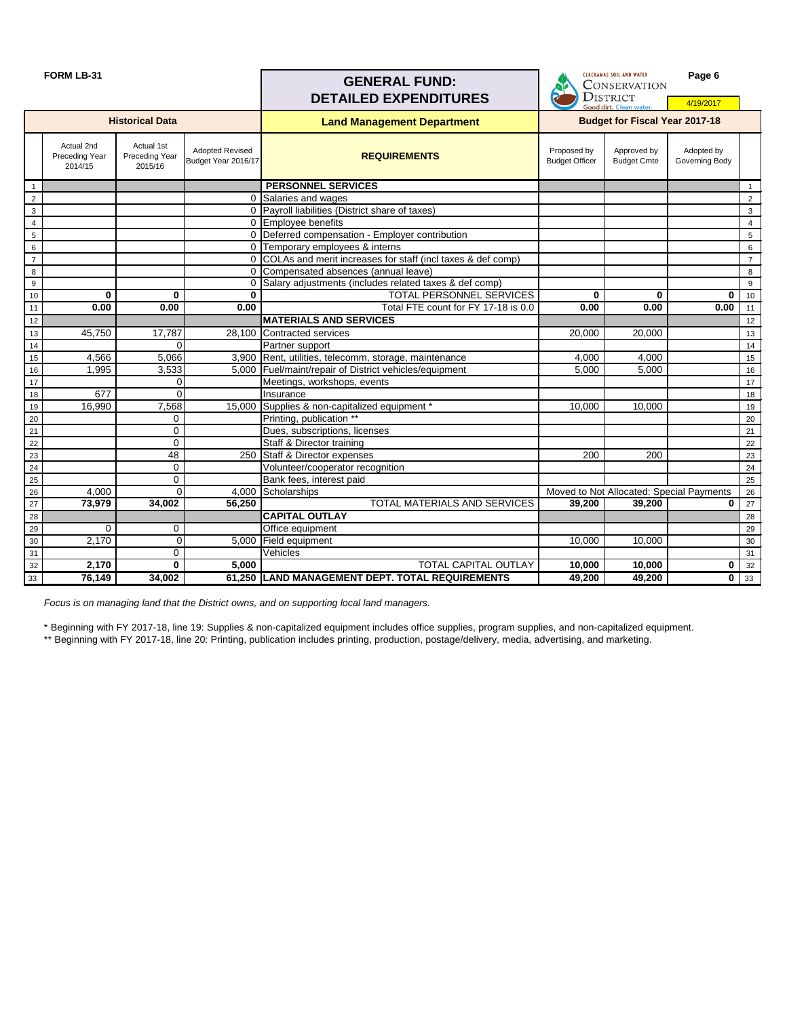#### **FORM LB-31 Page 6**<br> **GENERAL FUND:** CONSERVATION **DETAILED EXPENDITURES DISTRICT** 4/19/2017 **Historical DataBudget for Fiscal Year 2017-18 Land Management Department** Actual 2nd Actual 1st Adopted Revised<br>Budget Year 2016/17 Proposed by Approved by Adopted by Preceding Year **REQUIREMENTS** Preceding Year Budget Officer Budget Cmte Governing Body 2014/15 2015/16 **PERSONNEL SERVICES** 2 **0 Salaries and wages** 2 **0 Salaries and wages** 2 **1** 2 3 0 Payroll liabilities (District share of taxes) 3 4 0 Employee benefits 4 5 0 Deferred compensation - Employer contribution Function Function Function Function Function Function Function 6 0 Temporary employees & interns and the contract of the contract of the contract of the contract of the contract of the contract of the contract of the contract of the contract of the contract of the contract of the cont 7 0 COLAs and merit increases for staff (incl taxes & def comp) 7 8 0 Compensated absences (annual leave) 8 9 0 Salary adjustments (includes related taxes & def comp)<br>
10 0 0 0 10 0 10 10 **0 0 0** TOTAL PERSONNEL SERVICES **0 0 0** 10 **11** Total FTE count for FY 17-18 is 0.0 12 **MATERIALS AND SERVICES** 13 45,750 17,787 28,100 Contracted services 20,000 20,000 13 13 13 45,750 17,787 28,100 Contracted services 20,000 20,000 20,000 20,000 13 14 **14** 0 0 Partner support 14 15 4,566 5,066 3,900 Rent, utilities, telecomm, storage, maintenance 4,000 4,000 1600 15<br>16 1.995 3.533 5.000 Fuel/maint/repair of District vehicles/equipment 5,000 5.000 16 16 1,995 3,533 5,000 Fuel/maint/repair of District vehicles/equipment 5,000 5,000 5,000 16 17 17 0 Meetings, workshops, events 17<br>18 677 0 Insurance 18 18 677 0 Insurance 18 19 16,990 7,568 15,000 Supplies & non-capitalized equipment \* 10,000 10,000 10,000 19 20 0 Printing, publication \*\*<br>21 0 Dues, subscriptions, licenses 21 20 21 21 0 0 Dues, subscriptions, licenses 20 0 21 22 **0 1 Constant Staff & Director training 22** 22 **1 Constant Constant Constant Constant Constant Constant Constant Constant Constant Constant Constant Constant Constant Constant Constant Constant Constant Constant Constan** 23 48 48 250 Staff & Director expenses 200 200 200 23 24 0 Volunteer/cooperator recognition 25 0 Volunteer/cooperator recognition 25 24 25 25 | Contract Contract Contract Contract Contract Contract Paid Contract Contract Contract Contract Contract Contract Contract Contract Contract Contract Contract Contract Contract Contract Contract Contract Contract Contr 26 1 4,000 4,000 0 4,000 Scholarships 26 1 26 26 26 26 26 26 27 28 29 29 29 20 20 20 20 20 20 20 20 20 20 20 20 27 **73,979 34,002 56,250** TOTAL MATERIALS AND SERVICES **39,200 39,200 0** 27 28 **CAPITAL OUTLAY** 28 29 0 0 Office equipment 29 30 2,170 0 5,000 Field equipment 10,000 10,000 30 31 0 Vehicles 31 32 **2,170 0 5,000** TOTAL CAPITAL OUTLAY **10,000 10,000 0** 32 33 **76,149 34,002 61,250 LAND MANAGEMENT DEPT. TOTAL REQUIREMENTS 49,200 49,200 0** 33

*Focus is on managing land that the District owns, and on supporting local land managers.*

\* Beginning with FY 2017-18, line 19: Supplies & non-capitalized equipment includes office supplies, program supplies, and non-capitalized equipment.

\*\* Beginning with FY 2017-18, line 20: Printing, publication includes printing, production, postage/delivery, media, advertising, and marketing.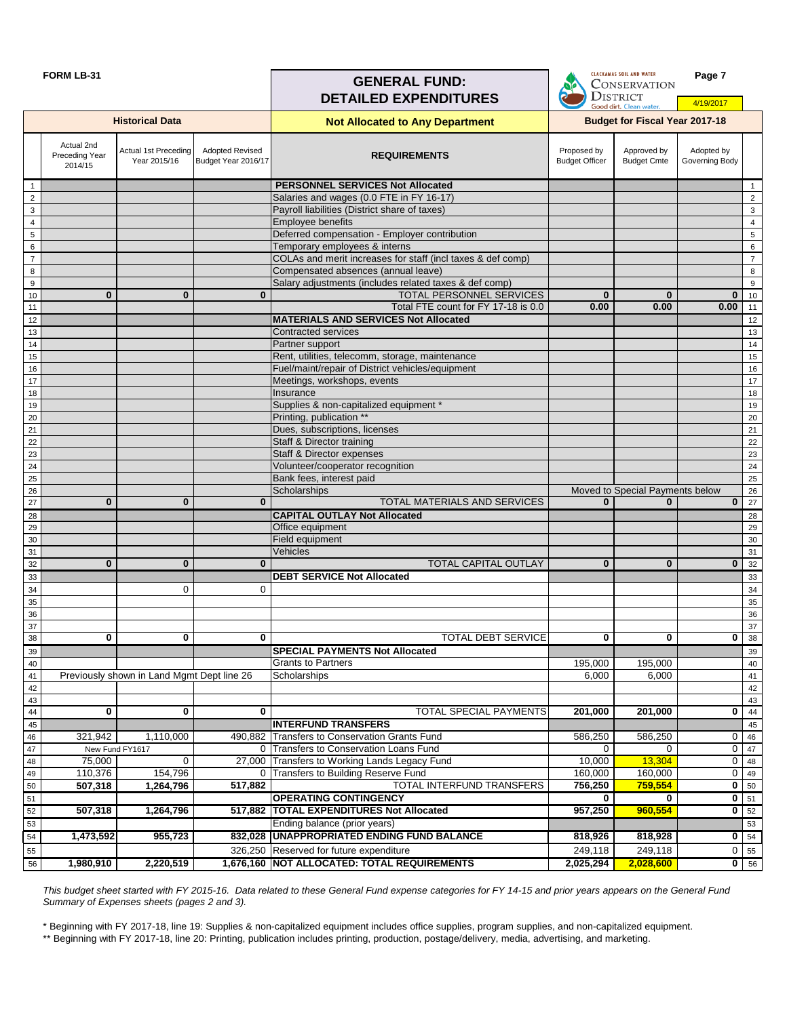#### **FORM LB-31 Page 7**<br>**GENERAL FUND:** CONSERVATION **DISTRICT DETAILED EXPENDITURES** 4/19/2017 **Not Allocated to Any Department Historical Data Budget for Fiscal Year 2017-18** Actual 2nd Actual 1st Preceding Adopted Revised Adopted by Proposed by Approved by Budget Year 2016/17 **REQUIREMENTS** Preceding Year Year 2015/16 Budget Officer Budget Cmte Governing Body 2014/15 1 **PERSONNEL SERVICES Not Allocated** 1 2 Salaries and wages (0.0 FTE in FY 16-17) 2 3 Payroll liabilities (District share of taxes) 3 4 **Employee benefits Employee benefits All in the set of the set of the set of the set of the set of the set of the set of the set of the set of the set of the set of the set of the set of the set of the set of the set** 5 Deferred compensation - Employer contribution 5 6 Temporary employees & interns and the control of the control of the control of the control of the control of the control of the control of the control of the control of the control of the control of the control of the co 7 COLAs and merit increases for staff (incl taxes & def comp) 7 COLAS and merit increases for staff (incl taxes & def comp) 8 Compensated absences (annual leave) 8 Compensated absences (annual leave) 8 Compensated absences (annual leave) 9 Salary adjustments (includes related taxes & def comp) 9 (Salary adjustments (includes related taxes & def comp) 10 **0 0 0** TOTAL PERSONNEL SERVICES **0 0 0** 10 11 Total FTE count for FY 17-18 is 0.0 **0.00 0.00 0.00** 11 12 **MATERIALS AND SERVICES Not Allocated** 12 **MATERIALS AND SERVICES Not Allocated** 13 Contracted services and the contracted services and the contracted services and the contracted services of the contracted services of the contracted services of the contracted services of the contracted services of the 14 **Partner support** 2008 **Partner support** 2008 **Partner support** 2008 **Partner support** 2008 **Partner support** 2008 **Partner support** 2008 **Partner support** 2008 **Partner support** 2008 **Partner support** 2008 **Partner sup** 15 **Rent, utilities, telecomm, storage, maintenance** 15 and 15 and 15 and 15 and 15 and 15 and 15 and 15 and 15 16 **Fuel/maint/repair of District vehicles/equipment** 16 and 16 and 16 and 16 and 16 and 16 and 16 and 16 and 16 17 Meetings, workshops, events and the contract of the contract of the contract of the contract of the contract of the contract of the contract of the contract of the contract of the contract of the contract of the contrac 18 **Insurance and Insurance in the Insurance** of the Insurance of the Insurance of the Insurance of the Insurance 19 **Supplies & non-capitalized equipment \*** 19 **Supplies & non-capitalized equipment \*** 19 **19** 19 20 **Printing, publication \*\*** 20 **Printing, publication \*\*** 21 **Dues, subscriptions, licenses** 21 **Dues** 21 **Dues, subscriptions, licenses** 21 **1** 22 Staff & Director training and the staff of the state of the state of the state of the state of the state of the state of the state of the state of the state of the state of the state of the state of the state of the sta 23 Staff & Director expenses 23 Staff & Director expenses 23 Staff & Director expenses 23 Staff & Director expenses 24 Volunteer/cooperator recognition 22 Volunteer/cooperator recognition 24 Volunteer 2012 12 Volunteer 2012 12 25 Bank fees, interest paid and the contract of the contract of the contract of the contract of the contract of the contract of the contract of the contract of the contract of the contract of the contract of the contract o 26 November 26 November 2012 1 Apple 26 November 2012 1 Apple 26 November 2012 1 Apple 26 November 2013 1 Apple 26 27 **0 0 0** TOTAL MATERIALS AND SERVICES **0 0 0** 27 28 **CAPITAL OUTLAY Not Allocated** 28 29 **Office equipment** 29 **Office equipment** 29 **Office 20 Office equipment** 29 **1** 30 **Field equipment 20 Field equipment** 30 **Field equipment** 30 **Field 20 I** 30 31 Vehicles 31 32 **0 0 0** TOTAL CAPITAL OUTLAY **0 0 0** 32 33 **DEBT SERVICE Not Allocated** 33  $34$  0 0 0 34 35 35 36 36 37 37 38 **0 0 0** TOTAL DEBT SERVICE **0 0 0** 38 39 **SPECIAL PAYMENTS Not Allocated** 39 40 Grants to Partners 195,000 195,000 40 41 Previously shown in Land Mgmt Dept line 26 Scholarships **6,000 Controlled in the U.S. A. A. Scholarships** 6,000 Controlled in the state of the state of the state of the state of the state of the state of the state of th 42 42 43 43 44 **0 0 0** TOTAL SPECIAL PAYMENTS **201,000 201,000 0** 44 45 **INTERFUND TRANSFERS** 45 46 321,942 1,110,000 490,882 Transfers to Conservation Grants Fund 586,250 586,250 586,250 0 46 47 New Fund FY1617 0 Transfers to Conservation Loans Fund 0 0 0 47 New Fund FY161748 75,000 0 0 27,000 Transfers to Working Lands Legacy Fund 10,000 13,304 0 48 110,376 154,796 0 Transfers to Building Reserve Fund<br>50 160,000 160,000 0 49<br>50 1.264.796 1.264.796 517,882 TOTAL INTERFUND TRANSFERS 756,250 759,554 0 50 50 **507,318 1,264,796 517,882** TOTAL INTERFUND TRANSFERS **756,250 759,554 0** 50 51 **OPERATING CONTINGENCY 0 0 0** 51 52 **507,318 1,264,796 517,882 TOTAL EXPENDITURES Not Allocated 957,250 960,554 0** 52 53 **Ending balance (prior years)** 53 **Figure 1.1** 53 54 **1,473,592 955,723 832,028 UNAPPROPRIATED ENDING FUND BALANCE 818,926 818,928 0** 54 55 326,250 Reserved for future expenditure 200 249,118 249,118 249,118 0 55 56 **1,980,910 2,220,519 1,676,160 NOT ALLOCATED: TOTAL REQUIREMENTS 2,025,294 2,028,600 0** 56

*This budget sheet started with FY 2015-16. Data related to these General Fund expense categories for FY 14-15 and prior years appears on the General Fund Summary of Expenses sheets (pages 2 and 3).*

\* Beginning with FY 2017-18, line 19: Supplies & non-capitalized equipment includes office supplies, program supplies, and non-capitalized equipment.

\*\* Beginning with FY 2017-18, line 20: Printing, publication includes printing, production, postage/delivery, media, advertising, and marketing.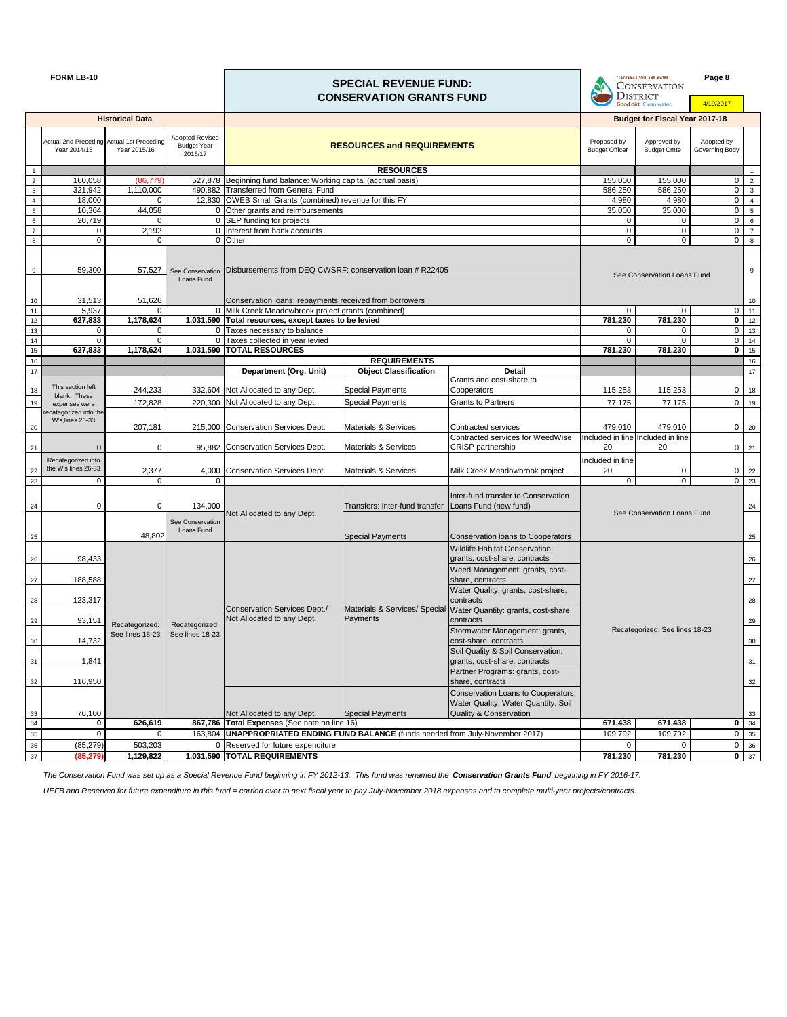|                                   | <b>FORM LB-10</b>                                         |                        |                                                         |                                                                                                                                       | <b>SPECIAL REVENUE FUND:</b><br><b>CONSERVATION GRANTS FUND</b> |                                                                                                                       |                                      | <b>CLACKAMAS SOIL AND WATER</b><br><b>CONSERVATION</b><br><b>DISTRICT</b><br>Good dirt. Clean water. |                                  |                                   |
|-----------------------------------|-----------------------------------------------------------|------------------------|---------------------------------------------------------|---------------------------------------------------------------------------------------------------------------------------------------|-----------------------------------------------------------------|-----------------------------------------------------------------------------------------------------------------------|--------------------------------------|------------------------------------------------------------------------------------------------------|----------------------------------|-----------------------------------|
|                                   |                                                           | <b>Historical Data</b> |                                                         |                                                                                                                                       |                                                                 |                                                                                                                       |                                      | <b>Budget for Fiscal Year 2017-18</b>                                                                |                                  |                                   |
|                                   | Actual 2nd Preceding Actual 1st Preceding<br>Year 2014/15 | Year 2015/16           | <b>Adopted Revised</b><br><b>Budget Year</b><br>2016/17 |                                                                                                                                       | <b>RESOURCES and REQUIREMENTS</b>                               |                                                                                                                       | Proposed by<br><b>Budget Officer</b> | Approved by<br><b>Budget Cmte</b>                                                                    | Adopted by<br>Governing Body     |                                   |
| $\overline{1}$                    |                                                           |                        |                                                         |                                                                                                                                       | <b>RESOURCES</b>                                                |                                                                                                                       |                                      |                                                                                                      |                                  | $\overline{1}$                    |
| $\overline{2}$                    | 160,058                                                   | (86, 779)              |                                                         | 527,878 Beginning fund balance: Working capital (accrual basis)                                                                       |                                                                 |                                                                                                                       | 155,000                              | 155,000                                                                                              | $\mathbf 0$                      | $\overline{2}$                    |
| $\mathbf{3}$                      | 321,942                                                   | 1,110,000              |                                                         | 490,882 Transferred from General Fund                                                                                                 |                                                                 |                                                                                                                       | 586,250                              | 586,250                                                                                              | $\overline{0}$                   | $\mathbf{3}$                      |
| $\overline{4}$<br>$5\phantom{.0}$ | 18,000<br>10,364                                          | 0<br>44,058            |                                                         | 12,830 OWEB Small Grants (combined) revenue for this FY<br>0 Other grants and reimbursements                                          |                                                                 |                                                                                                                       | 4,980<br>35,000                      | 4,980<br>35,000                                                                                      | $\overline{0}$<br>$\overline{0}$ | $\overline{4}$<br>$5\phantom{.0}$ |
| $6\phantom{.0}$                   | 20,719                                                    |                        |                                                         | 0 SEP funding for projects                                                                                                            |                                                                 |                                                                                                                       | $\mathbf 0$                          | 0                                                                                                    | $\overline{0}$                   | $6\phantom{.0}$                   |
| $\overline{7}$                    | 0                                                         | 2,192                  |                                                         | 0 Interest from bank accounts                                                                                                         |                                                                 |                                                                                                                       | $\mathbf 0$                          | $\mathbf 0$                                                                                          | $\overline{0}$                   | $\overline{7}$                    |
| $\bf{8}$                          | $\Omega$                                                  | $\Omega$               |                                                         | 0 Other                                                                                                                               |                                                                 |                                                                                                                       | $\mathbf 0$                          | $\overline{0}$                                                                                       | $\overline{0}$                   | 8                                 |
| 9<br>10                           | 59,300<br>31,513                                          | 57,527<br>51,626       | Loans Fund                                              | See Conservation   Disbursements from DEQ CWSRF: conservation loan # R22405<br>Conservation loans: repayments received from borrowers |                                                                 | See Conservation Loans Fund                                                                                           |                                      | 9<br>10                                                                                              |                                  |                                   |
| 11                                | 5,937                                                     | $\Omega$               |                                                         | 0 Milk Creek Meadowbrook project grants (combined)                                                                                    |                                                                 |                                                                                                                       | $\mathbf 0$                          | 0                                                                                                    | $\mathbf 0$                      | 11                                |
| 12                                | 627,833                                                   | 1,178,624              |                                                         | 1,031,590 Total resources, except taxes to be levied                                                                                  |                                                                 |                                                                                                                       | 781,230                              | 781,230                                                                                              | $\mathbf 0$                      | 12                                |
| 13                                | $\Omega$                                                  | 0                      |                                                         | 0 Taxes necessary to balance                                                                                                          |                                                                 |                                                                                                                       | 0                                    | 0                                                                                                    | $\overline{0}$                   | 13                                |
| 14                                | $\Omega$                                                  | 0                      |                                                         | 0 Taxes collected in year levied                                                                                                      |                                                                 |                                                                                                                       | $\Omega$                             | $\Omega$                                                                                             | $\overline{0}$                   | 14                                |
| 15                                | 627,833                                                   | 1,178,624              |                                                         | 1,031,590 TOTAL RESOURCES                                                                                                             |                                                                 |                                                                                                                       | 781,230                              | 781,230                                                                                              | $\mathbf 0$                      | 15                                |
| 16                                |                                                           |                        |                                                         |                                                                                                                                       | <b>REQUIREMENTS</b>                                             |                                                                                                                       |                                      |                                                                                                      |                                  | 16                                |
| 17                                |                                                           |                        |                                                         | <b>Department (Org. Unit)</b>                                                                                                         | <b>Object Classification</b>                                    | <b>Detail</b>                                                                                                         |                                      |                                                                                                      |                                  | 17                                |
|                                   | This section left                                         | 244,233                |                                                         | 332,604 Not Allocated to any Dept.                                                                                                    | <b>Special Payments</b>                                         | Grants and cost-share to<br>Cooperators                                                                               | 115,253                              | 115,253                                                                                              | $\mathbf{0}$                     |                                   |
| 18                                | blank. These                                              |                        |                                                         |                                                                                                                                       |                                                                 |                                                                                                                       |                                      |                                                                                                      |                                  | 18                                |
| 19                                | expenses were<br>recategorized into the                   | 172,828                |                                                         | 220,300 Not Allocated to any Dept.                                                                                                    | <b>Special Payments</b>                                         | <b>Grants to Partners</b>                                                                                             | 77,175                               | 77,175                                                                                               | $\overline{0}$                   | 19                                |
| 20                                | W's, lines 26-33                                          | 207,181                |                                                         | 215,000 Conservation Services Dept.                                                                                                   | <b>Materials &amp; Services</b>                                 | <b>Contracted services</b>                                                                                            | 479,010                              | 479,010                                                                                              |                                  | $0 \quad 20$                      |
|                                   |                                                           |                        |                                                         |                                                                                                                                       | <b>Materials &amp; Services</b>                                 | Contracted services for WeedWise                                                                                      |                                      | Included in line Included in line<br>20                                                              |                                  |                                   |
| 21                                |                                                           | $\mathbf 0$            |                                                         | 95,882 Conservation Services Dept.                                                                                                    |                                                                 | <b>CRISP</b> partnership                                                                                              | 20                                   |                                                                                                      |                                  | $0 \mid 21$                       |
|                                   | Recategorized into<br>the W's lines 26-33                 |                        |                                                         |                                                                                                                                       |                                                                 |                                                                                                                       | Included in line                     |                                                                                                      |                                  |                                   |
| 22<br>23                          | $\Omega$                                                  | 2,377<br><sup>0</sup>  |                                                         | 4,000 Conservation Services Dept.                                                                                                     | <b>Materials &amp; Services</b>                                 | Milk Creek Meadowbrook project                                                                                        | 20<br>$\mathbf 0$                    | 0<br>0                                                                                               | $\overline{0}$<br>$\overline{0}$ | 22<br>23                          |
|                                   |                                                           |                        |                                                         |                                                                                                                                       |                                                                 |                                                                                                                       |                                      |                                                                                                      |                                  |                                   |
|                                   |                                                           |                        |                                                         |                                                                                                                                       |                                                                 | Inter-fund transfer to Conservation                                                                                   |                                      |                                                                                                      |                                  |                                   |
| 24                                | 0                                                         | $\mathbf 0$            | 134,000                                                 | Not Allocated to any Dept.                                                                                                            | Transfers: Inter-fund transfer                                  | Loans Fund (new fund)                                                                                                 |                                      | See Conservation Loans Fund                                                                          |                                  | 24                                |
|                                   |                                                           |                        | See Conservation                                        |                                                                                                                                       |                                                                 |                                                                                                                       |                                      |                                                                                                      |                                  |                                   |
| 25                                |                                                           | 48,802                 | Loans Fund                                              |                                                                                                                                       | <b>Special Payments</b>                                         | Conservation loans to Cooperators                                                                                     |                                      |                                                                                                      |                                  | 25                                |
|                                   |                                                           |                        |                                                         |                                                                                                                                       |                                                                 | <b>Wildlife Habitat Conservation:</b>                                                                                 |                                      |                                                                                                      |                                  |                                   |
| 26                                | 98,433                                                    |                        |                                                         |                                                                                                                                       |                                                                 | grants, cost-share, contracts                                                                                         |                                      |                                                                                                      |                                  | 26                                |
|                                   |                                                           |                        |                                                         |                                                                                                                                       |                                                                 | Weed Management: grants, cost-                                                                                        |                                      |                                                                                                      |                                  |                                   |
| 27                                | 188,588                                                   |                        |                                                         |                                                                                                                                       |                                                                 | share, contracts                                                                                                      |                                      |                                                                                                      |                                  | 27                                |
| 28                                | 123,317                                                   |                        |                                                         |                                                                                                                                       |                                                                 | Water Quality: grants, cost-share,<br>contracts                                                                       |                                      |                                                                                                      |                                  | 28                                |
|                                   |                                                           |                        |                                                         | Conservation Services Dept./                                                                                                          |                                                                 | Materials & Services/ Special Water Quantity: grants, cost-share,                                                     |                                      |                                                                                                      |                                  |                                   |
| 29                                | 93,151                                                    | Recategorized:         | Recategorized:                                          | Not Allocated to any Dept.                                                                                                            | Payments                                                        | contracts                                                                                                             |                                      |                                                                                                      |                                  | 29                                |
|                                   |                                                           | See lines 18-23        | See lines 18-23                                         |                                                                                                                                       |                                                                 | Stormwater Management: grants,                                                                                        |                                      | Recategorized: See lines 18-23                                                                       |                                  |                                   |
| 30                                | 14,732                                                    |                        |                                                         |                                                                                                                                       |                                                                 | cost-share, contracts<br>Soil Quality & Soil Conservation:                                                            |                                      |                                                                                                      |                                  | 30                                |
| 31                                | 1,841                                                     |                        |                                                         |                                                                                                                                       |                                                                 | grants, cost-share, contracts                                                                                         |                                      |                                                                                                      |                                  | 31                                |
|                                   |                                                           |                        |                                                         |                                                                                                                                       |                                                                 | Partner Programs: grants, cost-                                                                                       |                                      |                                                                                                      |                                  |                                   |
| 32                                | 116,950                                                   |                        |                                                         |                                                                                                                                       |                                                                 | share, contracts                                                                                                      |                                      |                                                                                                      |                                  | 32                                |
| 33                                | 76,100                                                    |                        |                                                         | Not Allocated to any Dept.                                                                                                            | <b>Special Payments</b>                                         | <b>Conservation Loans to Cooperators:</b><br>Water Quality, Water Quantity, Soil<br><b>Quality &amp; Conservation</b> |                                      |                                                                                                      |                                  | 33                                |
| 34                                | 0                                                         | 626,619                |                                                         | 867,786   Total Expenses (See note on line 16)                                                                                        |                                                                 |                                                                                                                       | 671,438                              | 671,438                                                                                              | $\mathbf{0}$                     | 34                                |
| 35                                | 0                                                         | $\Omega$               |                                                         | 163,804   UNAPPROPRIATED ENDING FUND BALANCE (funds needed from July-November 2017)                                                   |                                                                 |                                                                                                                       | 109,792                              | 109,792                                                                                              |                                  | $\overline{0}$ 35                 |
| 36                                | (85, 279)                                                 | 503,203                |                                                         | 0 Reserved for future expenditure                                                                                                     |                                                                 |                                                                                                                       | $\mathbf 0$                          | $\Omega$                                                                                             | $\overline{0}$                   | 36                                |
| 37                                | (85, 279)                                                 | 1,129,822              |                                                         | 1,031,590 TOTAL REQUIREMENTS                                                                                                          |                                                                 |                                                                                                                       | 781,230                              | 781,230                                                                                              |                                  | $\overline{0}$ 37                 |

The Conservation Fund was set up as a Special Revenue Fund beginning in FY 2012-13. This fund was renamed the **Conservation Grants Fund** beginning in FY 2016-17.

*UEFB and Reserved for future expenditure in this fund = carried over to next fiscal year to pay July-November 2018 expenses and to complete multi-year projects/contracts.*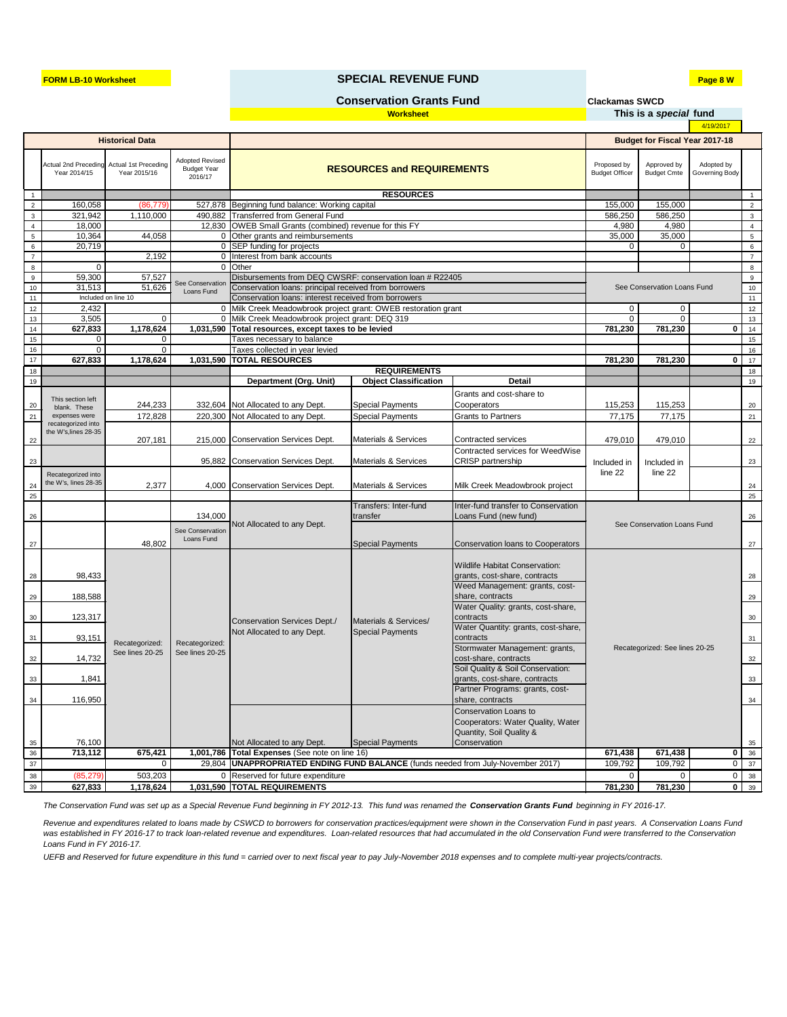**Clackamas SWCD**

|  | This is a <i>special</i> fund |  |  |
|--|-------------------------------|--|--|
|  |                               |  |  |

| 4/19/2017   |  |
|-------------|--|
| ear 2017-18 |  |

### **FORM LB-10 Worksheet Page 8 W SPECIAL REVENUE FUND**

|    |           |          |                                                                                    |                  | Quantity, Soil Quality & |             |         |                                                       |
|----|-----------|----------|------------------------------------------------------------------------------------|------------------|--------------------------|-------------|---------|-------------------------------------------------------|
| 35 | 76,100    |          | Not Allocated to any Dept.                                                         | Special Payments | <b>Conservation</b>      |             |         | - 35                                                  |
| 36 | 713,112   | 675,421  | <b>1,001,786   Total Expenses</b> (See note on line 16)                            | 671.438          | 671,438                  | $0 \mid 36$ |         |                                                       |
| 37 |           |          | 29,804   UNAPPROPRIATED ENDING FUND BALANCE (funds needed from July-November 2017) |                  |                          |             | 109,792 | $\begin{array}{c} \text{37} \\ \text{37} \end{array}$ |
| 38 | (85, 279) | 503,203  | 0 Reserved for future expenditure                                                  |                  |                          |             |         | 0138                                                  |
| 39 | 627,833   | .178,624 | <b>1,031,590  TOTAL REQUIREMENTS</b>                                               |                  |                          |             | 781,230 | $0 \mid 39$                                           |

*UEFB and Reserved for future expenditure in this fund = carried over to next fiscal year to pay July-November 2018 expenses and to complete multi-year projects/contracts.* 

|                |                                                           | <b>Historical Data</b> |                                                         |                                                                |                                                   |                                                            | <b>Budget for Fiscal Year 2017-18</b> |                                   |                              |                 |
|----------------|-----------------------------------------------------------|------------------------|---------------------------------------------------------|----------------------------------------------------------------|---------------------------------------------------|------------------------------------------------------------|---------------------------------------|-----------------------------------|------------------------------|-----------------|
|                | Actual 2nd Preceding Actual 1st Preceding<br>Year 2014/15 | Year 2015/16           | <b>Adopted Revised</b><br><b>Budget Year</b><br>2016/17 |                                                                | <b>RESOURCES and REQUIREMENTS</b>                 |                                                            | Proposed by<br><b>Budget Officer</b>  | Approved by<br><b>Budget Cmte</b> | Adopted by<br>Governing Body |                 |
|                |                                                           |                        |                                                         |                                                                | <b>RESOURCES</b>                                  |                                                            |                                       |                                   |                              |                 |
| $\overline{2}$ | 160,058                                                   | (86, 779)              |                                                         |                                                                | 527,878   Beginning fund balance: Working capital |                                                            |                                       | 155,000                           |                              | $\overline{2}$  |
| $\mathbf{3}$   | 321,942                                                   | 1,110,000              |                                                         | 490,882 Transferred from General Fund                          |                                                   |                                                            | 586,250                               | 586,250                           |                              | $\mathbf{3}$    |
| $\overline{4}$ | 18,000                                                    |                        |                                                         | 12,830 OWEB Small Grants (combined) revenue for this FY        |                                                   |                                                            | 4,980                                 | 4,980                             |                              | $\overline{4}$  |
| 5              | 10,364                                                    | 44,058                 |                                                         | 0 Other grants and reimbursements                              |                                                   |                                                            | 35,000                                | 35,000                            |                              | $5\phantom{.0}$ |
| 6              | 20,719                                                    |                        |                                                         | 0 SEP funding for projects                                     |                                                   |                                                            | $\Omega$                              | $\Omega$                          |                              | 6               |
| $\overline{7}$ |                                                           | 2,192                  | $\Omega$                                                | Interest from bank accounts                                    |                                                   |                                                            |                                       |                                   |                              | $\overline{7}$  |
| 8              | $\mathbf{0}$                                              |                        | $\Omega$                                                | Other                                                          |                                                   |                                                            |                                       |                                   |                              | 8               |
| 9              | 59,300                                                    | 57,527                 |                                                         | Disbursements from DEQ CWSRF: conservation loan # R22405       |                                                   |                                                            |                                       |                                   |                              | 9               |
| 10             | 31,513                                                    | 51,626                 | See Conservation<br>Loans Fund                          | Conservation loans: principal received from borrowers          |                                                   |                                                            |                                       | See Conservation Loans Fund       |                              | $10\,$          |
| 11             | Included on line 10                                       |                        |                                                         | Conservation loans: interest received from borrowers           |                                                   |                                                            |                                       |                                   |                              | 11              |
| 12             | 2,432                                                     |                        |                                                         | 0 Milk Creek Meadowbrook project grant: OWEB restoration grant |                                                   |                                                            | 0                                     | $\mathbf 0$                       |                              | 12              |
| 13             | 3,505                                                     | $\mathbf 0$            |                                                         | 0 Milk Creek Meadowbrook project grant: DEQ 319                |                                                   |                                                            | $\Omega$                              | $\Omega$                          |                              | 13              |
| 14             | 627,833                                                   | 1,178,624              |                                                         | 1,031,590 Total resources, except taxes to be levied           |                                                   |                                                            | 781,230                               | 781,230                           | 0                            | 14              |
| 15             | $\mathbf{0}$                                              | $\mathbf 0$            |                                                         | Taxes necessary to balance                                     |                                                   |                                                            |                                       |                                   |                              | 15              |
| 16             | $\Omega$                                                  | $\mathbf{0}$           |                                                         | Taxes collected in year levied                                 |                                                   |                                                            |                                       |                                   |                              | 16              |
| 17             | 627,833                                                   | 1,178,624              |                                                         | 1,031,590 TOTAL RESOURCES                                      |                                                   |                                                            | 781,230                               | 781,230                           | $\mathbf{0}$                 | 17              |
| 18             |                                                           |                        |                                                         |                                                                | <b>REQUIREMENTS</b>                               |                                                            |                                       |                                   |                              | 18              |
| 19             |                                                           |                        |                                                         | <b>Department (Org. Unit)</b>                                  | <b>Object Classification</b>                      | <b>Detail</b>                                              |                                       |                                   |                              | 19              |
|                |                                                           |                        |                                                         |                                                                |                                                   |                                                            |                                       |                                   |                              |                 |
| 20             | This section left<br>blank. These                         | 244,233                |                                                         | 332,604 Not Allocated to any Dept.                             | <b>Special Payments</b>                           | Grants and cost-share to<br>Cooperators                    | 115,253                               | 115,253                           |                              | 20              |
| 21             | expenses were                                             | 172,828                |                                                         | 220,300 Not Allocated to any Dept.                             | <b>Special Payments</b>                           | <b>Grants to Partners</b>                                  | 77,175                                | 77,175                            |                              | 21              |
|                | recategorized into                                        |                        |                                                         |                                                                |                                                   |                                                            |                                       |                                   |                              |                 |
| 22             | the W's, lines 28-35                                      | 207,181                |                                                         | 215,000 Conservation Services Dept.                            | <b>Materials &amp; Services</b>                   | <b>Contracted services</b>                                 | 479,010                               | 479,010                           |                              | 22              |
|                |                                                           |                        |                                                         |                                                                |                                                   | Contracted services for WeedWise                           |                                       |                                   |                              |                 |
| 23             |                                                           |                        |                                                         | 95,882 Conservation Services Dept.                             | <b>Materials &amp; Services</b>                   | <b>CRISP</b> partnership                                   |                                       |                                   |                              | 23              |
|                |                                                           |                        |                                                         |                                                                |                                                   |                                                            | Included in                           | Included in                       |                              |                 |
|                | Recategorized into<br>the W's, lines 28-35                |                        |                                                         |                                                                |                                                   |                                                            | line 22                               | line 22                           |                              |                 |
| 24             |                                                           | 2,377                  |                                                         | 4,000 Conservation Services Dept.                              | <b>Materials &amp; Services</b>                   | Milk Creek Meadowbrook project                             |                                       |                                   |                              | 24              |
| 25             |                                                           |                        |                                                         |                                                                |                                                   |                                                            |                                       |                                   |                              | 25              |
|                |                                                           |                        |                                                         |                                                                | Transfers: Inter-fund                             | Inter-fund transfer to Conservation                        |                                       |                                   |                              |                 |
| 26             |                                                           |                        | 134,000                                                 |                                                                | transfer                                          | Loans Fund (new fund)                                      |                                       |                                   |                              | 26              |
|                |                                                           |                        | See Conservation                                        | Not Allocated to any Dept.                                     |                                                   |                                                            |                                       | See Conservation Loans Fund       |                              |                 |
|                |                                                           | 48,802                 | Loans Fund                                              |                                                                |                                                   |                                                            |                                       |                                   |                              |                 |
| 27             |                                                           |                        |                                                         |                                                                | <b>Special Payments</b>                           | Conservation loans to Cooperators                          |                                       |                                   |                              | 27              |
|                |                                                           |                        |                                                         |                                                                |                                                   |                                                            |                                       |                                   |                              |                 |
|                |                                                           |                        |                                                         |                                                                |                                                   | Wildlife Habitat Conservation:                             |                                       |                                   |                              |                 |
| 28             | 98,433                                                    |                        |                                                         |                                                                |                                                   | grants, cost-share, contracts                              |                                       |                                   |                              | 28              |
|                |                                                           |                        |                                                         |                                                                |                                                   | Weed Management: grants, cost-                             |                                       |                                   |                              |                 |
| 29             | 188,588                                                   |                        |                                                         |                                                                |                                                   | share, contracts                                           |                                       |                                   |                              | 29              |
| 30             | 123,317                                                   |                        |                                                         |                                                                |                                                   | Water Quality: grants, cost-share,<br>contracts            |                                       |                                   |                              | 30              |
|                |                                                           |                        |                                                         | <b>Conservation Services Dept./</b>                            | Materials & Services/                             | Water Quantity: grants, cost-share,                        |                                       |                                   |                              |                 |
| 31             | 93,151                                                    |                        | Recategorized:                                          | Not Allocated to any Dept.                                     | <b>Special Payments</b>                           | contracts                                                  | Recategorized: See lines 20-25        |                                   |                              | 31              |
| 32             | Recategorized:<br>14,732                                  | See lines 20-25        | See lines 20-25                                         |                                                                |                                                   | Stormwater Management: grants,<br>cost-share, contracts    |                                       |                                   |                              | 32              |
|                |                                                           |                        |                                                         |                                                                |                                                   | Soil Quality & Soil Conservation:                          |                                       |                                   |                              |                 |
| 33             | 1,841                                                     |                        |                                                         |                                                                |                                                   | grants, cost-share, contracts                              |                                       |                                   |                              | 33              |
|                |                                                           |                        |                                                         |                                                                |                                                   | Partner Programs: grants, cost-                            |                                       |                                   |                              |                 |
| 34             | 116,950                                                   |                        |                                                         |                                                                |                                                   | share, contracts                                           |                                       |                                   |                              | 34              |
|                |                                                           |                        |                                                         |                                                                |                                                   | Conservation Loans to<br>Cooperators: Water Quality, Water |                                       |                                   |                              |                 |

*The Conservation Fund was set up as a Special Revenue Fund beginning in FY 2012-13. This fund was renamed the Conservation Grants Fund beginning in FY 2016-17.*

*Revenue and expenditures related to loans made by CSWCD to borrowers for conservation practices/equipment were shown in the Conservation Fund in past years. A Conservation Loans Fund*  was established in FY 2016-17 to track loan-related revenue and expenditures. Loan-related resources that had accumulated in the old Conservation Fund were transferred to the Conservation *Loans Fund in FY 2016-17.* 

## **Conservation Grants Fund**

## **Worksheet**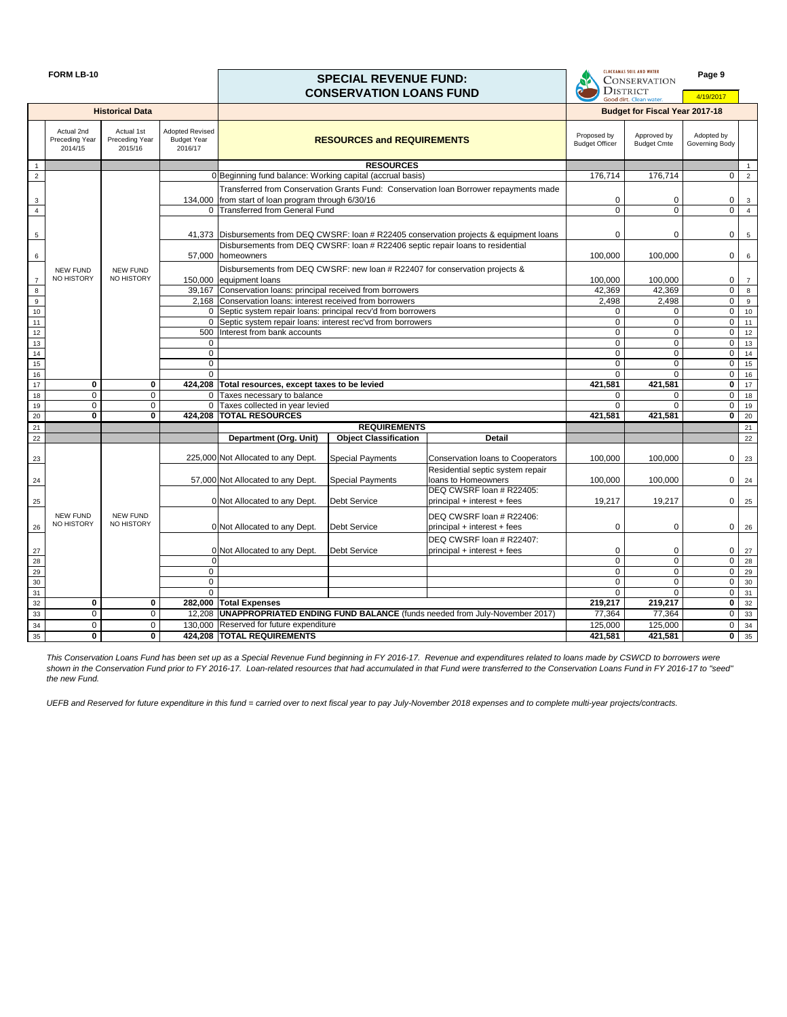*UEFB and Reserved for future expenditure in this fund = carried over to next fiscal year to pay July-November 2018 expenses and to complete multi-year projects/contracts.* 

| <b>FORM LB-10</b> |                                                |                                                |                                                         | <b>SPECIAL REVENUE FUND:</b><br><b>CONSERVATION LOANS FUND</b> |                                   |                                                                                            | <b>CLACKAMAS SOIL AND WATER</b><br><b>CONSERVATION</b><br><b>DISTRICT</b><br>Good dirt. Clean water |                                       | Page 9<br>4/19/2017          |                   |
|-------------------|------------------------------------------------|------------------------------------------------|---------------------------------------------------------|----------------------------------------------------------------|-----------------------------------|--------------------------------------------------------------------------------------------|-----------------------------------------------------------------------------------------------------|---------------------------------------|------------------------------|-------------------|
|                   |                                                | <b>Historical Data</b>                         |                                                         |                                                                |                                   |                                                                                            |                                                                                                     | <b>Budget for Fiscal Year 2017-18</b> |                              |                   |
|                   | Actual 2nd<br><b>Preceding Year</b><br>2014/15 | Actual 1st<br><b>Preceding Year</b><br>2015/16 | <b>Adopted Revised</b><br><b>Budget Year</b><br>2016/17 |                                                                | <b>RESOURCES and REQUIREMENTS</b> |                                                                                            | Proposed by<br><b>Budget Officer</b>                                                                | Approved by<br><b>Budget Cmte</b>     | Adopted by<br>Governing Body |                   |
|                   |                                                |                                                |                                                         |                                                                | <b>RESOURCES</b>                  |                                                                                            |                                                                                                     |                                       |                              | $\overline{1}$    |
| $\overline{2}$    |                                                |                                                |                                                         | 0 Beginning fund balance: Working capital (accrual basis)      |                                   |                                                                                            | 176,714                                                                                             | 176,714                               | $\overline{0}$               | $\overline{2}$    |
|                   |                                                |                                                |                                                         |                                                                |                                   | Transferred from Conservation Grants Fund: Conservation Ioan Borrower repayments made      |                                                                                                     |                                       |                              |                   |
| 3                 |                                                |                                                |                                                         | 134,000 from start of loan program through 6/30/16             |                                   |                                                                                            | $\mathbf 0$                                                                                         | 0                                     | 0 <sup>1</sup>               | $\mathbf{3}$      |
| $\overline{4}$    |                                                |                                                |                                                         | 0 Transferred from General Fund                                |                                   |                                                                                            |                                                                                                     |                                       | $\overline{0}$               | $\overline{4}$    |
|                   |                                                |                                                |                                                         |                                                                |                                   |                                                                                            |                                                                                                     |                                       |                              |                   |
|                   |                                                |                                                |                                                         |                                                                |                                   | 41,373 Disbursements from DEQ CWSRF: loan # R22405 conservation projects & equipment loans | $\Omega$                                                                                            | 0                                     | $\overline{0}$               | $5\overline{)}$   |
| 5                 |                                                |                                                |                                                         |                                                                |                                   | Disbursements from DEQ CWSRF: Ioan # R22406 septic repair loans to residential             |                                                                                                     |                                       |                              |                   |
|                   |                                                |                                                |                                                         | 57,000 homeowners                                              |                                   |                                                                                            | 100,000                                                                                             | 100,000                               |                              |                   |
| 6                 |                                                |                                                |                                                         |                                                                |                                   |                                                                                            |                                                                                                     |                                       | $\overline{0}$               | 6                 |
|                   | <b>NEW FUND</b>                                | <b>NEW FUND</b>                                |                                                         |                                                                |                                   | Disbursements from DEQ CWSRF: new loan # R22407 for conservation projects &                |                                                                                                     |                                       |                              |                   |
| $\overline{7}$    | NO HISTORY                                     | NO HISTORY                                     |                                                         | 150,000 equipment loans                                        |                                   |                                                                                            | 100,000                                                                                             | 100,000                               | $\overline{0}$               | $\overline{7}$    |
| $\bf8$            |                                                |                                                |                                                         | 39,167 Conservation loans: principal received from borrowers   |                                   |                                                                                            | 42,369                                                                                              | 42,369                                | $\overline{0}$               | 8                 |
| $9\,$             |                                                |                                                |                                                         | 2,168 Conservation Ioans: interest received from borrowers     |                                   |                                                                                            | 2,498                                                                                               | 2,498                                 | $\overline{0}$               | 9                 |
| 10                |                                                |                                                |                                                         | 0 Septic system repair loans: principal recv'd from borrowers  |                                   |                                                                                            | $\Omega$                                                                                            | $\Omega$                              | $\overline{O}$               | 10                |
| $11$              |                                                |                                                |                                                         | 0 Septic system repair loans: interest rec'vd from borrowers   |                                   |                                                                                            | $\Omega$                                                                                            | $\Omega$                              | $\overline{0}$               | 11                |
| 12                |                                                |                                                | 500                                                     | Interest from bank accounts                                    |                                   |                                                                                            | $\mathbf 0$                                                                                         | $\mathbf 0$                           | $\overline{0}$               | 12                |
| $\overline{13}$   |                                                |                                                | 0                                                       |                                                                |                                   |                                                                                            | $\mathbf 0$                                                                                         | $\mathbf 0$                           | $\overline{0}$               | 13                |
| 14                |                                                |                                                | 0                                                       |                                                                |                                   |                                                                                            | 0                                                                                                   | $\mathbf 0$                           | $\overline{0}$               | 14                |
| 15                |                                                |                                                | $\overline{0}$                                          |                                                                |                                   |                                                                                            | $\mathbf 0$                                                                                         | $\mathbf 0$                           | $\overline{0}$               | 15                |
| 16                |                                                |                                                | $\Omega$                                                |                                                                |                                   |                                                                                            | $\Omega$                                                                                            | $\Omega$                              | $\overline{0}$               | 16                |
| 17                | $\mathbf 0$                                    | $\bf{0}$                                       |                                                         | 424,208 Total resources, except taxes to be levied             |                                   |                                                                                            | 421,581                                                                                             | 421,581                               | $\overline{0}$               | 17                |
| 18                | $\mathbf 0$                                    | $\mathbf 0$                                    | $\Omega$                                                | Taxes necessary to balance                                     |                                   |                                                                                            | $\Omega$                                                                                            | $\Omega$                              | $\overline{0}$               | 18                |
| 19                | $\mathbf 0$                                    | $\mathbf 0$                                    |                                                         | Taxes collected in year levied                                 |                                   |                                                                                            | $\Omega$                                                                                            | $\Omega$                              | $\overline{0}$               | 19                |
| $20\,$            | $\mathbf{0}$                                   | $\bf{0}$                                       |                                                         | 424,208 TOTAL RESOURCES                                        |                                   |                                                                                            | 421,581                                                                                             | 421,581                               | $\overline{0}$               | 20                |
| 21                |                                                |                                                |                                                         |                                                                | <b>REQUIREMENTS</b>               |                                                                                            |                                                                                                     |                                       |                              | 21                |
| 22                |                                                |                                                |                                                         | <b>Department (Org. Unit)</b>                                  | <b>Object Classification</b>      | <b>Detail</b>                                                                              |                                                                                                     |                                       |                              | 22                |
| 23                |                                                |                                                |                                                         | 225,000 Not Allocated to any Dept.                             | <b>Special Payments</b>           | Conservation loans to Cooperators                                                          | 100,000                                                                                             | 100,000                               | $\overline{0}$               | 23                |
|                   |                                                |                                                |                                                         |                                                                |                                   | Residential septic system repair                                                           |                                                                                                     |                                       |                              |                   |
|                   |                                                |                                                |                                                         | 57,000 Not Allocated to any Dept.                              | <b>Special Payments</b>           | loans to Homeowners                                                                        | 100,000                                                                                             | 100,000                               |                              | $0 \quad 24$      |
| 24                |                                                |                                                |                                                         |                                                                |                                   | DEQ CWSRF loan # R22405:                                                                   |                                                                                                     |                                       |                              |                   |
| 25                |                                                |                                                |                                                         | 0 Not Allocated to any Dept.                                   | Debt Service                      | principal + interest + fees                                                                | 19,217                                                                                              | 19,217                                |                              | $0 \mid 25$       |
|                   |                                                |                                                |                                                         |                                                                |                                   |                                                                                            |                                                                                                     |                                       |                              |                   |
|                   | <b>NEW FUND</b>                                | NEW FUND                                       |                                                         |                                                                |                                   | DEQ CWSRF loan # R22406:                                                                   |                                                                                                     |                                       |                              |                   |
| 26                | NO HISTORY                                     | NO HISTORY                                     |                                                         | 0 Not Allocated to any Dept.                                   | Debt Service                      | principal + interest + fees                                                                | $\mathbf 0$                                                                                         | 0                                     |                              | $0 \quad 26$      |
|                   |                                                |                                                |                                                         |                                                                |                                   | DEQ CWSRF loan # R22407:                                                                   |                                                                                                     |                                       |                              |                   |
| 27                |                                                |                                                |                                                         | 0 Not Allocated to any Dept.                                   | <b>Debt Service</b>               | $ principal + interest + fees$                                                             | $\boldsymbol{0}$                                                                                    | 0                                     |                              | $0 \mid 27$       |
| $28$              |                                                |                                                |                                                         |                                                                |                                   |                                                                                            | $\mathbf 0$                                                                                         | $\mathbf 0$                           | $\overline{0}$               | 28                |
| 29                |                                                |                                                | $\overline{0}$                                          |                                                                |                                   |                                                                                            | 0                                                                                                   | $\mathbf 0$                           |                              | $0 \mid 29$       |
| $30\,$            |                                                |                                                | $\overline{0}$                                          |                                                                |                                   |                                                                                            | $\mathbf 0$                                                                                         | $\mathbf 0$                           |                              | $\overline{0}$ 30 |
| 31                |                                                |                                                | $\Omega$                                                |                                                                |                                   |                                                                                            | $\mathbf{0}$                                                                                        | $\Omega$                              | $\overline{0}$               | 31                |
| 32                | $\mathbf 0$                                    | $\mathbf 0$                                    |                                                         | 282,000 Total Expenses                                         |                                   |                                                                                            | 219,217                                                                                             | 219,217                               | $\mathbf{0}$                 | 32                |
| 33                | $\overline{0}$                                 | $\mathbf 0$                                    |                                                         |                                                                |                                   | 12,208   UNAPPROPRIATED ENDING FUND BALANCE (funds needed from July-November 2017)         | 77,364                                                                                              | 77,364                                | 0 <sup>1</sup>               | 33                |
| 34                | $\overline{0}$                                 | 0                                              |                                                         | 130,000 Reserved for future expenditure                        |                                   |                                                                                            | 125,000                                                                                             | 125,000                               |                              | $\overline{0}$ 34 |
| 35                | $\mathbf 0$                                    | $\mathbf 0$                                    |                                                         | 424,208 TOTAL REQUIREMENTS                                     |                                   |                                                                                            | 421,581                                                                                             | 421,581                               |                              | $\overline{0}$ 35 |
|                   |                                                |                                                |                                                         |                                                                |                                   |                                                                                            |                                                                                                     |                                       |                              |                   |

*This Conservation Loans Fund has been set up as a Special Revenue Fund beginning in FY 2016-17. Revenue and expenditures related to loans made by CSWCD to borrowers were shown in the Conservation Fund prior to FY 2016-17. Loan-related resources that had accumulated in that Fund were transferred to the Conservation Loans Fund in FY 2016-17 to "seed" the new Fund.*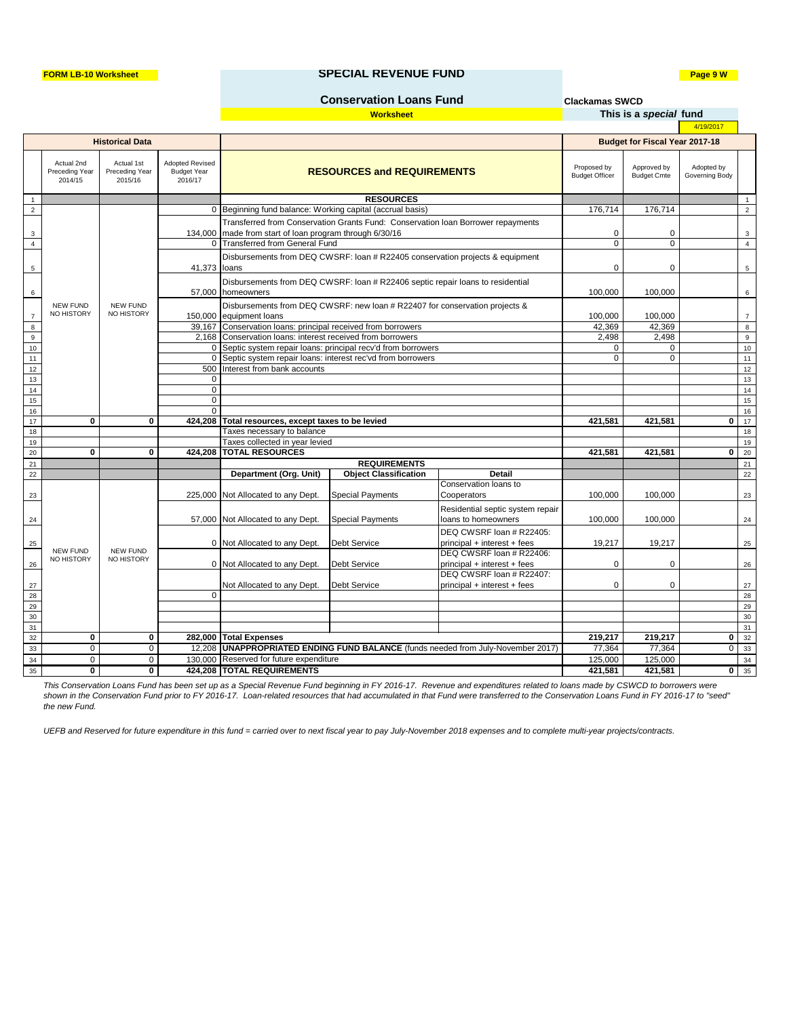**Clackamas SWCD**

| This is a special fund |          |
|------------------------|----------|
|                        | 4/19/201 |

#### **FORM LB-10 Worksheet Page 9 W SPECIAL REVENUE FUND**

*UEFB and Reserved for future expenditure in this fund = carried over to next fiscal year to pay July-November 2018 expenses and to complete multi-year projects/contracts.* 

*This Conservation Loans Fund has been set up as a Special Revenue Fund beginning in FY 2016-17. Revenue and expenditures related to loans made by CSWCD to borrowers were shown in the Conservation Fund prior to FY 2016-17. Loan-related resources that had accumulated in that Fund were transferred to the Conservation Loans Fund in FY 2016-17 to "seed" the new Fund.*

|                 |                                                          |                                         |                                                         |                                                               |                                                                                  |                                                                                    |                                      |                                       | 4/19/2017                    |                   |    |    |
|-----------------|----------------------------------------------------------|-----------------------------------------|---------------------------------------------------------|---------------------------------------------------------------|----------------------------------------------------------------------------------|------------------------------------------------------------------------------------|--------------------------------------|---------------------------------------|------------------------------|-------------------|----|----|
|                 |                                                          | <b>Historical Data</b>                  |                                                         |                                                               |                                                                                  |                                                                                    |                                      | <b>Budget for Fiscal Year 2017-18</b> |                              |                   |    |    |
|                 | Actual 2nd<br>Preceding Year<br>2014/15                  | Actual 1st<br>Preceding Year<br>2015/16 | <b>Adopted Revised</b><br><b>Budget Year</b><br>2016/17 |                                                               | <b>RESOURCES and REQUIREMENTS</b>                                                |                                                                                    | Proposed by<br><b>Budget Officer</b> | Approved by<br><b>Budget Cmte</b>     | Adopted by<br>Governing Body |                   |    |    |
| $\overline{1}$  |                                                          |                                         |                                                         |                                                               | <b>RESOURCES</b>                                                                 |                                                                                    |                                      |                                       |                              | $\overline{1}$    |    |    |
| $\overline{2}$  |                                                          |                                         |                                                         | 0 Beginning fund balance: Working capital (accrual basis)     |                                                                                  |                                                                                    | 176,714                              | 176,714                               |                              | $\overline{2}$    |    |    |
|                 |                                                          |                                         |                                                         |                                                               | Transferred from Conservation Grants Fund: Conservation loan Borrower repayments |                                                                                    |                                      |                                       |                              |                   |    |    |
| 3               |                                                          |                                         |                                                         | 134,000 made from start of loan program through 6/30/16       |                                                                                  |                                                                                    | 0                                    | 0                                     |                              | $\mathbf{3}$      |    |    |
| $\overline{4}$  |                                                          |                                         |                                                         | 0 Transferred from General Fund                               |                                                                                  |                                                                                    | $\mathbf 0$                          | $\mathbf 0$                           |                              | $\overline{4}$    |    |    |
|                 |                                                          |                                         |                                                         |                                                               | Disbursements from DEQ CWSRF: Ioan # R22405 conservation projects & equipment    |                                                                                    |                                      |                                       |                              |                   |    |    |
| 5               |                                                          |                                         | 41,373 loans                                            |                                                               |                                                                                  |                                                                                    | 0                                    | 0                                     |                              | $5\overline{)}$   |    |    |
|                 |                                                          |                                         |                                                         |                                                               | Disbursements from DEQ CWSRF: loan # R22406 septic repair loans to residential   |                                                                                    |                                      |                                       |                              |                   |    |    |
| 6               |                                                          |                                         |                                                         | 57,000 homeowners                                             |                                                                                  |                                                                                    | 100,000                              | 100,000                               |                              | 6                 |    |    |
|                 | <b>NEW FUND</b>                                          | <b>NEW FUND</b>                         |                                                         |                                                               | Disbursements from DEQ CWSRF: new loan # R22407 for conservation projects &      |                                                                                    |                                      |                                       |                              |                   |    |    |
| $\overline{7}$  | NO HISTORY                                               | NO HISTORY                              |                                                         | 150,000 equipment loans                                       |                                                                                  |                                                                                    | 100,000                              | 100,000                               |                              | $\overline{7}$    |    |    |
| $\bf 8$         |                                                          |                                         |                                                         | 39,167 Conservation loans: principal received from borrowers  |                                                                                  |                                                                                    | 42,369                               | 42,369                                |                              | 8                 |    |    |
| $\overline{9}$  |                                                          |                                         |                                                         | 2,168 Conservation Ioans: interest received from borrowers    |                                                                                  |                                                                                    | 2,498                                | 2,498                                 |                              | 9                 |    |    |
| $10\,$          |                                                          |                                         |                                                         | 0 Septic system repair loans: principal recv'd from borrowers |                                                                                  |                                                                                    | 0                                    | 0                                     |                              | 10                |    |    |
| 11              |                                                          |                                         |                                                         |                                                               |                                                                                  | 0 Septic system repair loans: interest rec'vd from borrowers                       |                                      |                                       | $\Omega$                     | $\mathbf 0$       |    | 11 |
| $12$            |                                                          |                                         |                                                         |                                                               | 500 Interest from bank accounts                                                  |                                                                                    |                                      |                                       |                              |                   | 12 |    |
| $13$            |                                                          |                                         | $\Omega$                                                |                                                               |                                                                                  |                                                                                    |                                      |                                       |                              | 13                |    |    |
| 14              |                                                          |                                         | 0                                                       |                                                               |                                                                                  |                                                                                    |                                      |                                       |                              | 14                |    |    |
| 15              |                                                          |                                         | 0                                                       |                                                               |                                                                                  |                                                                                    |                                      |                                       |                              | 15                |    |    |
| 16              |                                                          |                                         | $\Omega$                                                |                                                               |                                                                                  |                                                                                    |                                      |                                       |                              | 16                |    |    |
| 17              | $\mathbf 0$                                              | $\mathbf 0$                             | 424,208                                                 | Total resources, except taxes to be levied                    |                                                                                  |                                                                                    | 421,581                              | 421,581                               | $\mathbf{0}$                 | 17                |    |    |
| 18              |                                                          |                                         |                                                         | Taxes necessary to balance                                    |                                                                                  |                                                                                    |                                      |                                       |                              | 18                |    |    |
| 19              |                                                          |                                         |                                                         | Taxes collected in year levied                                |                                                                                  |                                                                                    |                                      |                                       |                              | 19                |    |    |
| 20              | $\mathbf{0}$                                             | $\mathbf 0$                             |                                                         | 424,208 TOTAL RESOURCES                                       |                                                                                  |                                                                                    | 421,581                              | 421,581                               | $\mathbf{0}$                 | 20                |    |    |
| 21              |                                                          |                                         |                                                         |                                                               | <b>REQUIREMENTS</b>                                                              |                                                                                    |                                      |                                       |                              | 21                |    |    |
| 22              |                                                          |                                         |                                                         | <b>Department (Org. Unit)</b>                                 | <b>Object Classification</b>                                                     | <b>Detail</b>                                                                      |                                      |                                       |                              | 22                |    |    |
|                 |                                                          |                                         |                                                         |                                                               |                                                                                  | Conservation loans to                                                              |                                      |                                       |                              |                   |    |    |
| 23              |                                                          |                                         |                                                         | 225,000 Not Allocated to any Dept.                            | Special Payments                                                                 | Cooperators                                                                        | 100,000                              | 100,000                               |                              | 23                |    |    |
|                 |                                                          |                                         |                                                         |                                                               |                                                                                  | Residential septic system repair                                                   |                                      |                                       |                              |                   |    |    |
| 24              |                                                          |                                         |                                                         | 57,000 Not Allocated to any Dept.                             | Special Payments                                                                 | loans to homeowners                                                                | 100,000                              | 100,000                               |                              | 24                |    |    |
|                 |                                                          |                                         |                                                         |                                                               |                                                                                  | DEQ CWSRF loan # R22405:                                                           |                                      |                                       |                              |                   |    |    |
| 25              |                                                          |                                         |                                                         | 0 Not Allocated to any Dept.                                  | Debt Service                                                                     | principal + interest + fees                                                        | 19,217                               | 19,217                                |                              | 25                |    |    |
|                 | <b>NEW FUND</b>                                          | <b>NEW FUND</b>                         |                                                         |                                                               |                                                                                  | DEQ CWSRF loan # R22406:                                                           |                                      |                                       |                              |                   |    |    |
| 26              | NO HISTORY                                               | NO HISTORY                              |                                                         | 0 Not Allocated to any Dept.                                  | Debt Service                                                                     | principal + interest + fees                                                        | $\pmb{0}$                            | 0                                     |                              | 26                |    |    |
|                 |                                                          |                                         |                                                         |                                                               |                                                                                  | DEQ CWSRF loan # R22407:                                                           |                                      |                                       |                              |                   |    |    |
| 27              |                                                          |                                         |                                                         | Not Allocated to any Dept.                                    | Debt Service                                                                     | principal + interest + fees                                                        | $\pmb{0}$                            | 0                                     |                              | $27\,$            |    |    |
| $28\,$          |                                                          |                                         | $\overline{0}$                                          |                                                               |                                                                                  |                                                                                    |                                      |                                       |                              | 28                |    |    |
| 29              |                                                          |                                         |                                                         |                                                               |                                                                                  |                                                                                    |                                      |                                       |                              | 29                |    |    |
| 30 <sup>2</sup> |                                                          |                                         |                                                         |                                                               |                                                                                  |                                                                                    |                                      |                                       |                              | 30                |    |    |
| 31              |                                                          |                                         |                                                         |                                                               |                                                                                  |                                                                                    |                                      |                                       |                              | 31                |    |    |
| 32              | $\mathbf 0$                                              | $\mathbf{0}$                            | 282,000                                                 | <b>Total Expenses</b>                                         |                                                                                  |                                                                                    | 219,217                              | 219,217                               | $\mathbf{0}$                 | 32                |    |    |
| 33              | $\overline{0}$                                           | $\overline{0}$                          |                                                         |                                                               |                                                                                  | 12,208   UNAPPROPRIATED ENDING FUND BALANCE (funds needed from July-November 2017) | 77,364                               | 77,364                                |                              | $\overline{0}$ 33 |    |    |
| 34              | $\overline{0}$                                           | $\mathbf 0$                             |                                                         | 130,000 Reserved for future expenditure                       |                                                                                  |                                                                                    | 125,000                              | 125,000                               |                              | 34                |    |    |
| 35              | 424,208 TOTAL REQUIREMENTS<br>$\mathbf 0$<br>$\mathbf 0$ |                                         |                                                         |                                                               |                                                                                  |                                                                                    | 421,581                              | 421,581                               |                              | $\overline{0}$ 35 |    |    |

**Worksheet**

## **Conservation Loans Fund**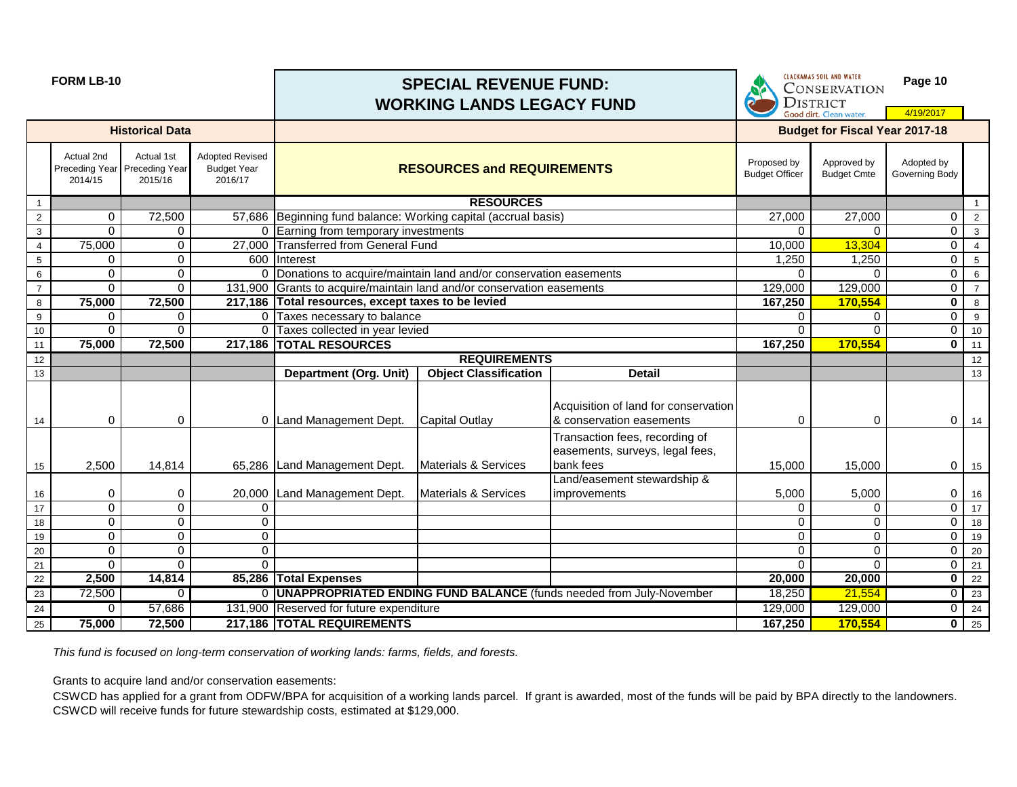# **FORM LB-10 Page 10 WORKING LANDS LEGACY FUND**

DISTRICT

|                  |                                                        |                        |                                                         | <u>  INDINING LANDJ LLUAU I I UND</u>                              |                                                            |                                                                                | Good dirt. Clean water. |                                       | 4/19/2017                    |                          |
|------------------|--------------------------------------------------------|------------------------|---------------------------------------------------------|--------------------------------------------------------------------|------------------------------------------------------------|--------------------------------------------------------------------------------|-------------------------|---------------------------------------|------------------------------|--------------------------|
|                  |                                                        | <b>Historical Data</b> |                                                         |                                                                    |                                                            |                                                                                |                         | <b>Budget for Fiscal Year 2017-18</b> |                              |                          |
|                  | Actual 2nd<br>Preceding Year Preceding Year<br>2014/15 | Actual 1st<br>2015/16  | <b>Adopted Revised</b><br><b>Budget Year</b><br>2016/17 |                                                                    | <b>RESOURCES and REQUIREMENTS</b><br><b>Budget Officer</b> |                                                                                |                         |                                       | Adopted by<br>Governing Body |                          |
| $\overline{1}$   |                                                        |                        |                                                         |                                                                    | <b>RESOURCES</b>                                           |                                                                                |                         |                                       |                              | $\overline{1}$           |
| $\overline{2}$   | 0                                                      | 72,500                 |                                                         | 57,686 Beginning fund balance: Working capital (accrual basis)     |                                                            |                                                                                | 27,000                  | 27,000                                | $\overline{0}$               | $\overline{2}$           |
| $\mathbf{3}$     | $\Omega$                                               | $\Omega$               |                                                         | 0 Earning from temporary investments                               |                                                            |                                                                                | $\Omega$                | $\Omega$                              | $\overline{0}$               | $\overline{\mathbf{3}}$  |
| $\overline{4}$   | 75,000                                                 | 0                      |                                                         | 27,000 Transferred from General Fund                               |                                                            |                                                                                | 10,000                  | 13,304                                | $\overline{0}$               | $\overline{4}$           |
| $\sqrt{5}$       | 0                                                      | 0                      |                                                         | 600 Interest                                                       |                                                            |                                                                                | 1,250                   | 1,250                                 | $\overline{0}$               | 5                        |
| $\,6\,$          | $\overline{0}$                                         | 0                      |                                                         | 0 Donations to acquire/maintain land and/or conservation easements |                                                            |                                                                                | $\Omega$                | $\Omega$                              | $\overline{0}$               | 6                        |
| $\overline{7}$   | 0                                                      | $\overline{0}$         | 131,900                                                 | Grants to acquire/maintain land and/or conservation easements      |                                                            |                                                                                | 129,000                 | 129,000                               | $\overline{0}$               | $\overline{7}$           |
| $\bf8$           | 75,000                                                 | 72,500                 |                                                         | 217,186 Total resources, except taxes to be levied                 |                                                            |                                                                                | 167,250                 | 170,554                               | $\mathbf 0$                  | 8                        |
| $\boldsymbol{9}$ | $\Omega$                                               | 0                      | $\Omega$                                                | Taxes necessary to balance                                         |                                                            |                                                                                | 0                       | 0                                     | $\overline{0}$               | 9                        |
| 10               | 0                                                      | $\Omega$               |                                                         | 0 Taxes collected in year levied                                   |                                                            |                                                                                | $\Omega$<br>167,250     | $\Omega$                              | $\overline{0}$               | 10                       |
| 11               | 75,000                                                 | 72,500                 | 217,186                                                 | <b>TOTAL RESOURCES</b>                                             |                                                            |                                                                                |                         | 170,554                               | $\mathbf 0$                  | 11                       |
| $\overline{12}$  |                                                        |                        |                                                         |                                                                    | <b>REQUIREMENTS</b>                                        |                                                                                |                         |                                       |                              | $\overline{12}$          |
| 13               |                                                        |                        |                                                         | <b>Department (Org. Unit)</b>                                      | <b>Object Classification</b>                               | <b>Detail</b>                                                                  |                         |                                       |                              | 13                       |
| 14               | 0                                                      | 0                      |                                                         | 0 Land Management Dept.                                            | <b>Capital Outlay</b>                                      | Acquisition of land for conservation<br>& conservation easements               | 0                       | 0                                     | $\overline{O}$               | 14                       |
| 15               | 2,500                                                  | 14,814                 |                                                         | 65,286 Land Management Dept.                                       | Materials & Services                                       | Transaction fees, recording of<br>easements, surveys, legal fees,<br>bank fees | 15,000                  | 15,000                                |                              | $0$ 15                   |
| 16               | 0                                                      | 0                      |                                                         | 20,000 Land Management Dept.                                       | Materials & Services                                       | Land/easement stewardship &<br><i>improvements</i>                             | 5,000                   | 5,000                                 | $\overline{0}$               | 16                       |
| 17               | 0                                                      | 0                      | 0                                                       |                                                                    |                                                            |                                                                                | 0                       | 0                                     | $\overline{0}$               | 17                       |
| 18               | 0                                                      | 0                      | 0                                                       |                                                                    |                                                            |                                                                                | 0                       | 0                                     | $\overline{0}$               | 18                       |
| 19               | 0                                                      | 0                      | $\overline{0}$                                          |                                                                    |                                                            |                                                                                | 0                       | 0                                     | $\overline{0}$               | 19                       |
| 20               | 0                                                      | 0                      | 0                                                       |                                                                    |                                                            |                                                                                | 0                       | 0                                     | $\overline{0}$               | 20                       |
| 21               | $\Omega$                                               | 0                      | $\Omega$                                                |                                                                    |                                                            |                                                                                | $\Omega$                | $\Omega$                              | $\overline{0}$               | 21                       |
| $\overline{22}$  | 2,500                                                  | 14,814                 |                                                         | 85,286 Total Expenses                                              |                                                            |                                                                                | 20,000                  | 20,000                                | $\overline{\phantom{0}}$     | $\overline{22}$          |
| 23               | 72,500                                                 | $\Omega$               |                                                         |                                                                    |                                                            | 0   UNAPPROPRIATED ENDING FUND BALANCE (funds needed from July-November        | 18,250                  | 21,554                                |                              | $0 \mid 23$              |
| 24               | 0                                                      | 57,686                 |                                                         | 131,900 Reserved for future expenditure                            |                                                            |                                                                                | 129,000                 | 129,000                               |                              | $0 \overline{\smash)24}$ |
| 25               | 75,000                                                 | 72,500                 |                                                         | 217,186 TOTAL REQUIREMENTS                                         |                                                            |                                                                                | 167,250                 | 170,554                               |                              | $0 \t 25$                |

*This fund is focused on long-term conservation of working lands: farms, fields, and forests.*

Grants to acquire land and/or conservation easements:

CSWCD has applied for a grant from ODFW/BPA for acquisition of a working lands parcel. If grant is awarded, most of the funds will be paid by BPA directly to the landowners. CSWCD will receive funds for future stewardship costs, estimated at \$129,000.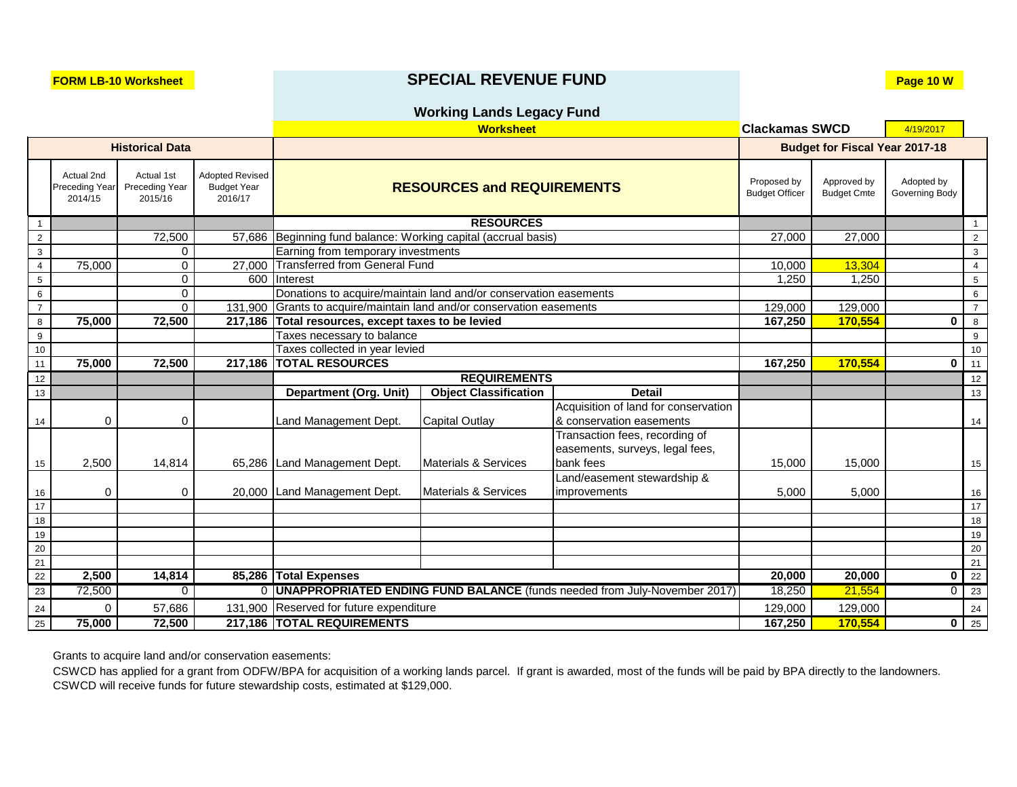## **FORM LB-10 Worksheet SPECIAL REVENUE FUND Page 10 W**

### **Working Lands Legacy Fund**

|                        |                                         |                                         |                                                         | <b>Worksheet</b>                                                      |                                                                           |                                                                                |         | <b>Clackamas SWCD</b>                 |                              |                   |  |
|------------------------|-----------------------------------------|-----------------------------------------|---------------------------------------------------------|-----------------------------------------------------------------------|---------------------------------------------------------------------------|--------------------------------------------------------------------------------|---------|---------------------------------------|------------------------------|-------------------|--|
| <b>Historical Data</b> |                                         |                                         |                                                         |                                                                       |                                                                           |                                                                                |         | <b>Budget for Fiscal Year 2017-18</b> |                              |                   |  |
|                        | Actual 2nd<br>Preceding Year<br>2014/15 | Actual 1st<br>Preceding Year<br>2015/16 | <b>Adopted Revised</b><br><b>Budget Year</b><br>2016/17 |                                                                       | Proposed by<br><b>RESOURCES and REQUIREMENTS</b><br><b>Budget Officer</b> |                                                                                |         |                                       | Adopted by<br>Governing Body |                   |  |
| $\mathbf{1}$           |                                         |                                         |                                                         |                                                                       | <b>RESOURCES</b>                                                          |                                                                                |         |                                       |                              | $\overline{1}$    |  |
| $\overline{2}$         |                                         | 72,500                                  |                                                         | 57,686 Beginning fund balance: Working capital (accrual basis)        |                                                                           |                                                                                | 27,000  | 27,000                                |                              | $\overline{2}$    |  |
| $\mathbf{3}$           |                                         | 0                                       |                                                         | Earning from temporary investments                                    |                                                                           |                                                                                |         |                                       |                              | $\mathbf{3}$      |  |
| $\overline{4}$         | 75,000                                  | $\overline{0}$                          | 27,000                                                  | <b>Transferred from General Fund</b>                                  |                                                                           |                                                                                | 10,000  | 13,304                                |                              | $\overline{4}$    |  |
| $\sqrt{5}$             |                                         | $\overline{0}$                          |                                                         | 600 Interest                                                          |                                                                           |                                                                                | 1,250   | 1,250                                 |                              | $5\overline{)}$   |  |
| $\,6\,$                |                                         | $\overline{0}$                          |                                                         | Donations to acquire/maintain land and/or conservation easements      |                                                                           |                                                                                |         |                                       |                              | 6                 |  |
| $\overline{7}$         |                                         | $\overline{0}$                          |                                                         | 131,900 Grants to acquire/maintain land and/or conservation easements |                                                                           |                                                                                | 129,000 | 129,000                               |                              | $\overline{7}$    |  |
| 8                      | 75,000                                  | 72,500                                  | 217,186                                                 | Total resources, except taxes to be levied                            |                                                                           |                                                                                | 167,250 | 170,554                               | $\mathbf 0$                  | $8\phantom{1}$    |  |
| 9                      |                                         |                                         |                                                         | Taxes necessary to balance                                            |                                                                           |                                                                                |         |                                       |                              | 9                 |  |
| 10                     |                                         |                                         |                                                         | Taxes collected in year levied                                        |                                                                           |                                                                                | 167,250 |                                       |                              | 10                |  |
| 11                     | 75,000                                  | 72,500                                  | 217,186                                                 |                                                                       | <b>TOTAL RESOURCES</b>                                                    |                                                                                |         | 170,554                               |                              | $\overline{0}$ 11 |  |
| 12                     |                                         |                                         |                                                         |                                                                       | <b>REQUIREMENTS</b>                                                       |                                                                                |         |                                       |                              | 12                |  |
| 13                     |                                         |                                         |                                                         | <b>Department (Org. Unit)</b>                                         | <b>Object Classification</b>                                              | <b>Detail</b>                                                                  |         |                                       |                              | 13                |  |
| 14                     | 0                                       | 0                                       |                                                         | Land Management Dept.                                                 | <b>Capital Outlay</b>                                                     | Acquisition of land for conservation<br>& conservation easements               |         |                                       |                              | 14                |  |
| 15                     | 2,500                                   | 14,814                                  |                                                         | 65,286 Land Management Dept.                                          | <b>Materials &amp; Services</b>                                           | Transaction fees, recording of<br>easements, surveys, legal fees,<br>bank fees | 15,000  | 15,000                                |                              | 15                |  |
|                        |                                         |                                         |                                                         |                                                                       |                                                                           | Land/easement stewardship &                                                    |         |                                       |                              |                   |  |
| 16                     | 0                                       | 0                                       |                                                         | 20,000 Land Management Dept.                                          | <b>Materials &amp; Services</b>                                           | improvements                                                                   | 5,000   | 5,000                                 |                              | 16                |  |
| 17                     |                                         |                                         |                                                         |                                                                       |                                                                           |                                                                                |         |                                       |                              | $17$              |  |
| 18                     |                                         |                                         |                                                         |                                                                       |                                                                           |                                                                                |         |                                       |                              | 18                |  |
| 19                     |                                         |                                         |                                                         |                                                                       |                                                                           |                                                                                |         |                                       |                              | 19                |  |
| $20\,$                 |                                         |                                         |                                                         |                                                                       |                                                                           |                                                                                |         |                                       |                              | 20                |  |
| 21                     |                                         |                                         |                                                         |                                                                       |                                                                           |                                                                                |         |                                       |                              | 21                |  |
| 22                     | 2,500                                   | 14,814                                  |                                                         | 85,286 Total Expenses                                                 |                                                                           |                                                                                | 20,000  | 20,000                                | 0 <sup>1</sup>               | 22                |  |
| 23                     | 72,500                                  | $\Omega$                                |                                                         |                                                                       |                                                                           | 0   UNAPPROPRIATED ENDING FUND BALANCE (funds needed from July-November 2017)  | 18,250  | 21,554                                | $\overline{0}$               | 23                |  |
| 24                     | 0                                       | 57,686                                  |                                                         | 131,900 Reserved for future expenditure                               |                                                                           |                                                                                | 129,000 | 129,000                               |                              | 24                |  |
| 25                     | 75,000                                  | 72,500                                  |                                                         | 217,186 TOTAL REQUIREMENTS                                            |                                                                           |                                                                                |         | 170,554                               |                              | $\overline{0}$ 25 |  |

Grants to acquire land and/or conservation easements:

CSWCD has applied for a grant from ODFW/BPA for acquisition of a working lands parcel. If grant is awarded, most of the funds will be paid by BPA directly to the landowners. CSWCD will receive funds for future stewardship costs, estimated at \$129,000.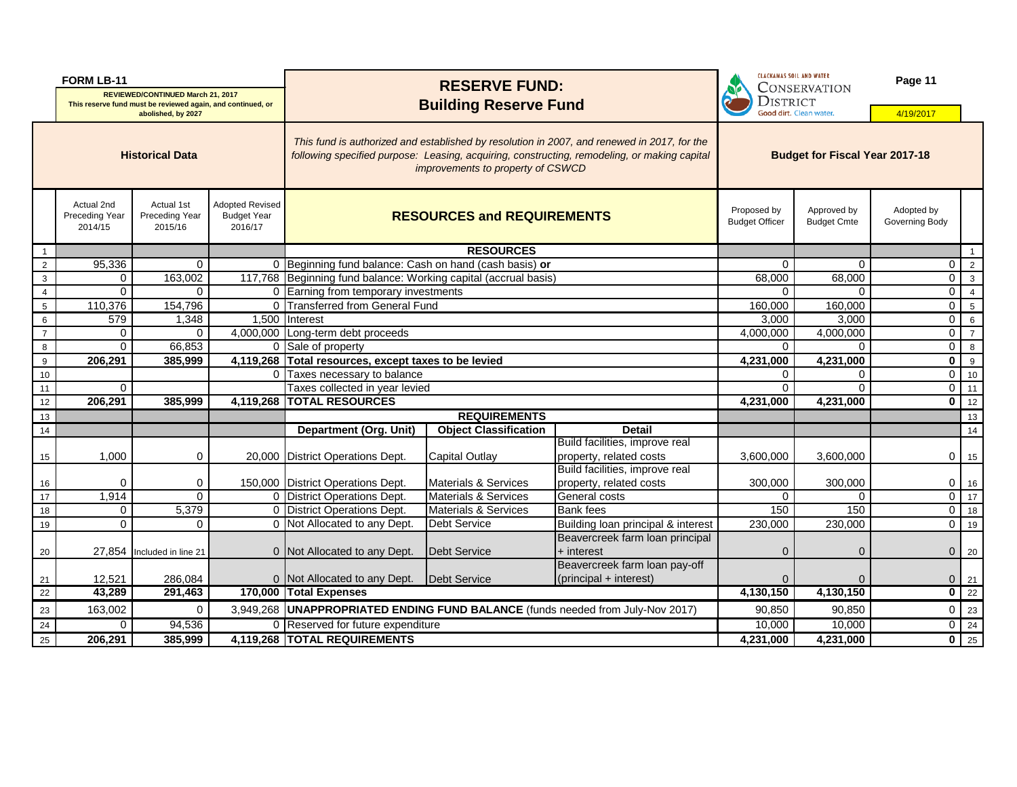| <b>FORM LB-11</b>      |                                                |                                                                                                         |                                                         | <b>RESERVE FUND:</b>                                                                                                                                                                                                             |                                   |                                                                                  | <b>CLACKAMAS SOIL AND WATER</b><br><b>CONSERVATION</b> |                                   | Page 11                      |                               |
|------------------------|------------------------------------------------|---------------------------------------------------------------------------------------------------------|---------------------------------------------------------|----------------------------------------------------------------------------------------------------------------------------------------------------------------------------------------------------------------------------------|-----------------------------------|----------------------------------------------------------------------------------|--------------------------------------------------------|-----------------------------------|------------------------------|-------------------------------|
|                        |                                                | <b>REVIEWED/CONTINUED March 21, 2017</b><br>This reserve fund must be reviewed again, and continued, or |                                                         | <b>Building Reserve Fund</b>                                                                                                                                                                                                     |                                   |                                                                                  | <b>DISTRICT</b>                                        |                                   |                              |                               |
|                        |                                                | abolished, by 2027                                                                                      |                                                         |                                                                                                                                                                                                                                  |                                   |                                                                                  |                                                        | Good dirt. Clean water.           | 4/19/2017                    |                               |
| <b>Historical Data</b> |                                                |                                                                                                         |                                                         | This fund is authorized and established by resolution in 2007, and renewed in 2017, for the<br>following specified purpose: Leasing, acquiring, constructing, remodeling, or making capital<br>improvements to property of CSWCD |                                   |                                                                                  | <b>Budget for Fiscal Year 2017-18</b>                  |                                   |                              |                               |
|                        | Actual 2nd<br><b>Preceding Year</b><br>2014/15 | Actual 1st<br>Preceding Year<br>2015/16                                                                 | <b>Adopted Revised</b><br><b>Budget Year</b><br>2016/17 |                                                                                                                                                                                                                                  | <b>RESOURCES and REQUIREMENTS</b> |                                                                                  |                                                        | Approved by<br><b>Budget Cmte</b> | Adopted by<br>Governing Body |                               |
| -1                     |                                                |                                                                                                         |                                                         |                                                                                                                                                                                                                                  | <b>RESOURCES</b>                  |                                                                                  |                                                        |                                   |                              |                               |
| $\overline{c}$         | 95,336                                         | $\mathbf 0$                                                                                             |                                                         | 0 Beginning fund balance: Cash on hand (cash basis) or                                                                                                                                                                           |                                   |                                                                                  | $\Omega$                                               | $\Omega$                          | $\overline{0}$               | $\overline{2}$                |
| $\mathbf{3}$           | $\mathsf{O}$                                   | 163,002                                                                                                 |                                                         | 117,768 Beginning fund balance: Working capital (accrual basis)                                                                                                                                                                  |                                   |                                                                                  | 68,000                                                 | 68,000                            | $\overline{0}$               | $\mathbf{3}$                  |
| $\overline{4}$         | $\overline{0}$                                 | $\mathbf{0}$                                                                                            |                                                         | 0 Earning from temporary investments                                                                                                                                                                                             |                                   |                                                                                  | $\Omega$                                               | $\Omega$                          | $\overline{0}$               | $\overline{4}$                |
| $5\phantom{.0}$        | 110,376                                        | 154,796                                                                                                 |                                                         | 0 Transferred from General Fund                                                                                                                                                                                                  |                                   |                                                                                  | 160,000                                                | 160,000                           | $\overline{0}$               | $-5$                          |
| 6                      | 579                                            | ,348                                                                                                    |                                                         | 1,500 Interest                                                                                                                                                                                                                   |                                   |                                                                                  | 3,000<br>4,000,000                                     | 3,000<br>4,000,000                | $\overline{0}$               | 6                             |
| $\overline{7}$         | $\mathsf 0$                                    | 0                                                                                                       |                                                         |                                                                                                                                                                                                                                  | 4,000,000 Long-term debt proceeds |                                                                                  |                                                        |                                   | $\overline{0}$               | $\overline{7}$                |
| 8                      | $\mathbf 0$                                    | 66,853                                                                                                  |                                                         |                                                                                                                                                                                                                                  | 0 Sale of property                |                                                                                  |                                                        | 0                                 | $\overline{0}$               | 8                             |
| 9                      | 206,291                                        | 385,999                                                                                                 | 4,119,268                                               | Total resources, except taxes to be levied                                                                                                                                                                                       | 4,231,000                         | $\sqrt{4,231,000}$                                                               | $\mathbf{0}$                                           | 9                                 |                              |                               |
| $10$                   |                                                |                                                                                                         | 0                                                       |                                                                                                                                                                                                                                  | Taxes necessary to balance        |                                                                                  |                                                        | 0                                 | $\overline{0}$               | 10                            |
| 11                     | $\Omega$                                       |                                                                                                         |                                                         | Taxes collected in year levied                                                                                                                                                                                                   |                                   |                                                                                  | ∩                                                      | 0                                 | $\overline{0}$               | 11                            |
| 12                     | 206,291                                        | 385,999                                                                                                 |                                                         | 4,119,268 TOTAL RESOURCES                                                                                                                                                                                                        |                                   |                                                                                  | 4,231,000                                              | 4,231,000                         | $\mathbf{0}$                 | 12                            |
| 13                     |                                                |                                                                                                         |                                                         |                                                                                                                                                                                                                                  | <b>REQUIREMENTS</b>               |                                                                                  |                                                        |                                   |                              | 13                            |
| 14                     |                                                |                                                                                                         |                                                         | <b>Department (Org. Unit)</b>                                                                                                                                                                                                    | <b>Object Classification</b>      | <b>Detail</b>                                                                    |                                                        |                                   |                              | 14                            |
|                        |                                                |                                                                                                         |                                                         |                                                                                                                                                                                                                                  |                                   | Build facilities, improve real                                                   |                                                        |                                   |                              |                               |
| 15                     | 1,000                                          | 0                                                                                                       |                                                         | 20,000 District Operations Dept.                                                                                                                                                                                                 | <b>Capital Outlay</b>             | property, related costs                                                          | 3,600,000                                              | 3,600,000                         | $\overline{0}$               | 15                            |
|                        |                                                |                                                                                                         |                                                         |                                                                                                                                                                                                                                  |                                   | Build facilities, improve real                                                   |                                                        |                                   |                              |                               |
| 16                     | $\Omega$                                       | 0                                                                                                       |                                                         | 150,000 District Operations Dept.                                                                                                                                                                                                | Materials & Services              | property, related costs                                                          | 300,000                                                | 300,000                           | $\overline{0}$               | 16                            |
| 17                     | 1,914                                          | $\mathbf{0}$                                                                                            |                                                         | 0 District Operations Dept.                                                                                                                                                                                                      | <b>Materials &amp; Services</b>   | General costs                                                                    | $\Omega$                                               | $\mathbf 0$                       | $\overline{O}$               | 17                            |
| 18                     | $\mathbf 0$                                    | 5,379                                                                                                   |                                                         | 0 District Operations Dept.                                                                                                                                                                                                      | Materials & Services              | <b>Bank</b> fees                                                                 | 150                                                    | 150                               |                              | $0$ 18                        |
| 19                     | $\mathbf 0$                                    | $\mathbf 0$                                                                                             |                                                         | 0 Not Allocated to any Dept.                                                                                                                                                                                                     | Debt Service                      | Building loan principal & interest                                               | 230,000                                                | 230,000                           | $\overline{O}$               | 19                            |
|                        |                                                |                                                                                                         |                                                         |                                                                                                                                                                                                                                  |                                   | Beavercreek farm loan principal                                                  |                                                        |                                   |                              |                               |
| 20                     |                                                | 27,854  Included in line 21                                                                             |                                                         | 0 Not Allocated to any Dept.                                                                                                                                                                                                     | Debt Service                      | $+$ interest                                                                     | 0                                                      | $\Omega$                          |                              | $0 \mid 20$                   |
|                        | 12,521                                         | 286,084                                                                                                 |                                                         | 0 Not Allocated to any Dept.                                                                                                                                                                                                     | Debt Service                      | Beavercreek farm loan pay-off<br>$\left  \text{(principal + interest)} \right $  |                                                        | $\Omega$                          |                              |                               |
| 21<br>$\overline{22}$  | 43,289                                         | 291,463                                                                                                 |                                                         | 170,000 Total Expenses                                                                                                                                                                                                           |                                   |                                                                                  | 0<br>4,130,150                                         | 4,130,150                         |                              | $0$ 21<br>$\overline{0}$   22 |
| 23                     | 163,002                                        | $\mathbf 0$                                                                                             |                                                         |                                                                                                                                                                                                                                  |                                   | 3,949,268   UNAPPROPRIATED ENDING FUND BALANCE (funds needed from July-Nov 2017) | 90,850                                                 | 90,850                            |                              | $0 \mid 23$                   |
| 24                     | 0 <sup>1</sup>                                 | 94,536                                                                                                  |                                                         | 0 Reserved for future expenditure                                                                                                                                                                                                |                                   |                                                                                  | 10,000                                                 | 10,000                            |                              | $0 \mid 24$                   |
|                        | 206,291                                        | 385,999                                                                                                 |                                                         | 4,119,268 TOTAL REQUIREMENTS                                                                                                                                                                                                     |                                   |                                                                                  | 4,231,000                                              |                                   |                              | $\overline{0}$   25           |
| 25                     |                                                |                                                                                                         |                                                         |                                                                                                                                                                                                                                  |                                   |                                                                                  |                                                        | 4,231,000                         |                              |                               |